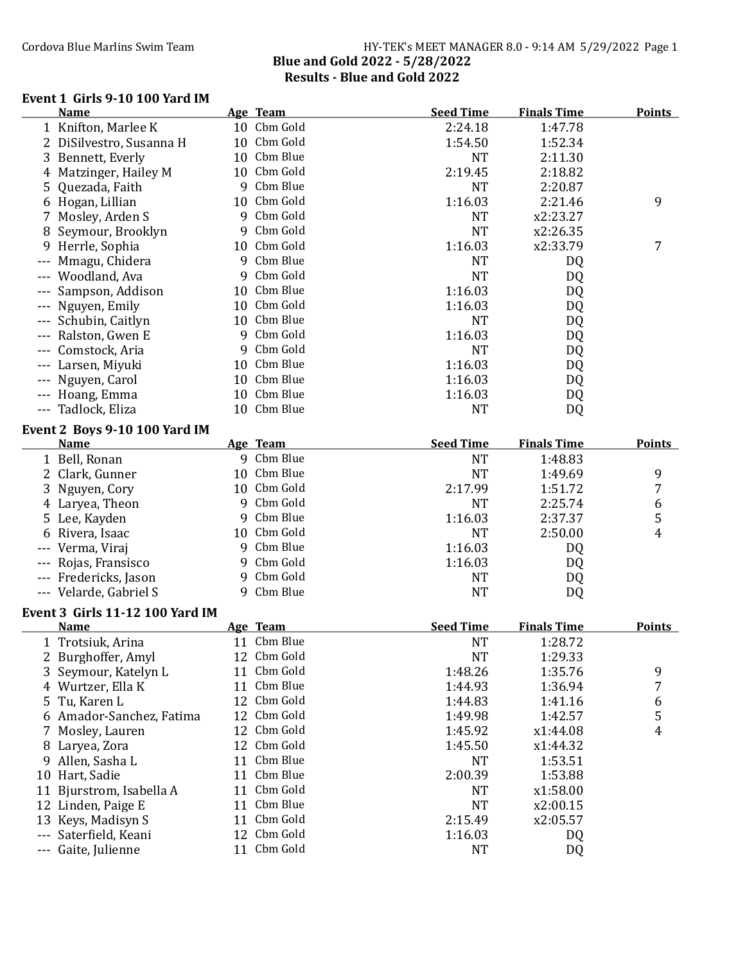### Cordova Blue Marlins Swim Team Team HY-TEK's MEET MANAGER 8.0 - 9:14 AM 5/29/2022 Page 1 Blue and Gold 2022 - 5/28/2022 Results - Blue and Gold 2022

### Event 1 Girls 9-10 100 Yard IM

|     | <b>Name</b>                            |    | Age Team    | <b>Seed Time</b> | <b>Finals Time</b> | <b>Points</b> |
|-----|----------------------------------------|----|-------------|------------------|--------------------|---------------|
|     | 1 Knifton, Marlee K                    |    | 10 Cbm Gold | 2:24.18          | 1:47.78            |               |
|     | 2 DiSilvestro, Susanna H               |    | 10 Cbm Gold | 1:54.50          | 1:52.34            |               |
|     | 3 Bennett, Everly                      |    | 10 Cbm Blue | <b>NT</b>        | 2:11.30            |               |
|     | 4 Matzinger, Hailey M                  |    | 10 Cbm Gold | 2:19.45          | 2:18.82            |               |
| 5   | Quezada, Faith                         |    | 9 Cbm Blue  | <b>NT</b>        | 2:20.87            |               |
|     | 6 Hogan, Lillian                       |    | 10 Cbm Gold | 1:16.03          | 2:21.46            | 9             |
| 7   | Mosley, Arden S                        |    | 9 Cbm Gold  | <b>NT</b>        | x2:23.27           |               |
| 8   | Seymour, Brooklyn                      |    | 9 Cbm Gold  | <b>NT</b>        | x2:26.35           |               |
| 9   | Herrle, Sophia                         |    | 10 Cbm Gold | 1:16.03          | x2:33.79           | 7             |
|     | Mmagu, Chidera                         |    | 9 Cbm Blue  | <b>NT</b>        | DQ                 |               |
|     | Woodland, Ava                          |    | 9 Cbm Gold  | <b>NT</b>        | DQ                 |               |
|     | Sampson, Addison                       | 10 | Cbm Blue    | 1:16.03          | DQ                 |               |
|     | Nguyen, Emily                          | 10 | Cbm Gold    | 1:16.03          | DQ                 |               |
|     | Schubin, Caitlyn                       | 10 | Cbm Blue    | <b>NT</b>        | DQ                 |               |
|     | Ralston, Gwen E                        |    | 9 Cbm Gold  | 1:16.03          | DQ                 |               |
|     | Comstock, Aria                         |    | 9 Cbm Gold  | <b>NT</b>        | DQ                 |               |
|     | Larsen, Miyuki                         | 10 | Cbm Blue    | 1:16.03          | DQ                 |               |
|     | Nguyen, Carol                          |    | 10 Cbm Blue | 1:16.03          | DQ                 |               |
|     | Hoang, Emma                            |    | 10 Cbm Blue | 1:16.03          | DQ                 |               |
| --- | Tadlock, Eliza                         |    | 10 Cbm Blue | <b>NT</b>        | DQ                 |               |
|     | Event 2 Boys 9-10 100 Yard IM          |    |             |                  |                    |               |
|     | <b>Name</b>                            |    | Age Team    | <b>Seed Time</b> | <b>Finals Time</b> | <b>Points</b> |
|     | 1 Bell, Ronan                          |    | 9 Cbm Blue  | <b>NT</b>        | 1:48.83            |               |
|     | 2 Clark, Gunner                        |    | 10 Cbm Blue | <b>NT</b>        | 1:49.69            | 9             |
| 3   | Nguyen, Cory                           |    | 10 Cbm Gold | 2:17.99          | 1:51.72            | 7             |
|     | 4 Laryea, Theon                        |    | 9 Cbm Gold  | <b>NT</b>        | 2:25.74            | 6             |
|     | 5 Lee, Kayden                          |    | 9 Cbm Blue  | 1:16.03          | 2:37.37            | 5             |
|     | 6 Rivera, Isaac                        |    | 10 Cbm Gold | <b>NT</b>        | 2:50.00            | 4             |
|     | Verma, Viraj                           |    | 9 Cbm Blue  | 1:16.03          | DQ                 |               |
|     | Rojas, Fransisco                       |    | 9 Cbm Gold  | 1:16.03          | DQ                 |               |
|     | --- Fredericks, Jason                  |    | 9 Cbm Gold  | <b>NT</b>        | DQ                 |               |
|     | --- Velarde, Gabriel S                 |    | 9 Cbm Blue  | <b>NT</b>        | DQ                 |               |
|     |                                        |    |             |                  |                    |               |
|     | <b>Event 3 Girls 11-12 100 Yard IM</b> |    |             |                  |                    |               |
|     | <b>Name</b>                            |    | Age Team    | <b>Seed Time</b> | <b>Finals Time</b> | <b>Points</b> |
|     | 1 Trotsiuk, Arina                      |    | 11 Cbm Blue | <b>NT</b>        | 1:28.72            |               |
|     | 2 Burghoffer, Amyl                     |    | 12 Cbm Gold | <b>NT</b>        | 1:29.33            |               |
|     | 3 Seymour, Katelyn L                   |    | 11 Cbm Gold | 1:48.26          | 1:35.76            | 9             |
|     | 4 Wurtzer, Ella K                      | 11 | Cbm Blue    | 1:44.93          | 1:36.94            | 7             |
| 5   | Tu, Karen L                            |    | 12 Cbm Gold | 1:44.83          | 1:41.16            | 6             |
|     | 6 Amador-Sanchez, Fatima               | 12 | Cbm Gold    | 1:49.98          | 1:42.57            | 5             |
| 7.  | Mosley, Lauren                         |    | 12 Cbm Gold | 1:45.92          | x1:44.08           | 4             |
|     | 8 Laryea, Zora                         | 12 | Cbm Gold    | 1:45.50          | x1:44.32           |               |
| 9.  | Allen, Sasha L                         | 11 | Cbm Blue    | <b>NT</b>        | 1:53.51            |               |
|     | 10 Hart, Sadie                         | 11 | Cbm Blue    | 2:00.39          | 1:53.88            |               |
|     | 11 Bjurstrom, Isabella A               | 11 | Cbm Gold    | <b>NT</b>        | x1:58.00           |               |
|     | 12 Linden, Paige E                     | 11 | Cbm Blue    | <b>NT</b>        | x2:00.15           |               |
| 13  | Keys, Madisyn S                        | 11 | Cbm Gold    | 2:15.49          | x2:05.57           |               |
|     | Saterfield, Keani                      | 12 | Cbm Gold    | 1:16.03          | DQ                 |               |
|     | Gaite, Julienne                        | 11 | Cbm Gold    | <b>NT</b>        | DQ                 |               |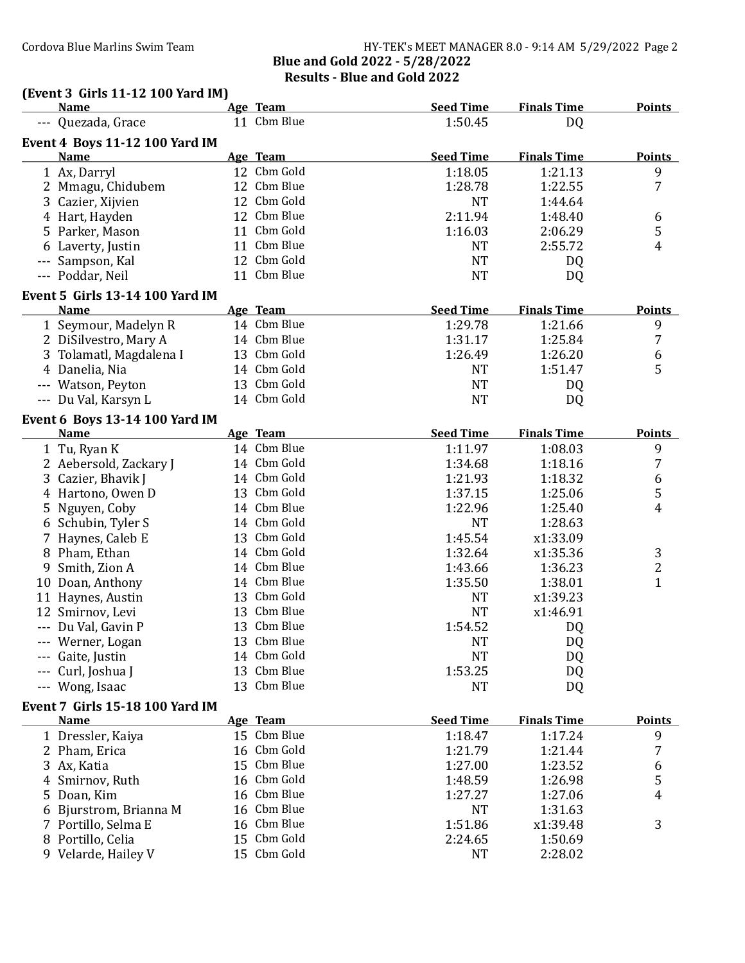### Cordova Blue Marlins Swim Team **HY-TEK's MEET MANAGER 8.0 - 9:14 AM 5/29/2022** Page 2 Blue and Gold 2022 - 5/28/2022 Results - Blue and Gold 2022

**Name Age Time Reed Time Finals Time Points** 

# (Event 3 Girls 11-12 100 Yard IM)<br>Name Age Team

|       | --- Quezada, Grace                     |    | 11 Cbm Blue | 1:50.45          | DQ                 |                |
|-------|----------------------------------------|----|-------------|------------------|--------------------|----------------|
|       | <b>Event 4 Boys 11-12 100 Yard IM</b>  |    |             |                  |                    |                |
|       | <b>Name</b>                            |    | Age Team    | <b>Seed Time</b> | <b>Finals Time</b> | <b>Points</b>  |
|       | 1 Ax, Darryl                           |    | 12 Cbm Gold | 1:18.05          | 1:21.13            | 9              |
|       | 2 Mmagu, Chidubem                      |    | 12 Cbm Blue | 1:28.78          | 1:22.55            | $\overline{7}$ |
|       | 3 Cazier, Xijvien                      |    | 12 Cbm Gold | <b>NT</b>        | 1:44.64            |                |
|       | 4 Hart, Hayden                         |    | 12 Cbm Blue | 2:11.94          | 1:48.40            | 6              |
|       | 5 Parker, Mason                        |    | 11 Cbm Gold | 1:16.03          | 2:06.29            | 5              |
|       | 6 Laverty, Justin                      |    | 11 Cbm Blue | <b>NT</b>        | 2:55.72            | 4              |
|       | Sampson, Kal                           |    | 12 Cbm Gold | <b>NT</b>        | DQ                 |                |
| $---$ | Poddar, Neil                           |    | 11 Cbm Blue | <b>NT</b>        | DQ.                |                |
|       | <b>Event 5 Girls 13-14 100 Yard IM</b> |    |             |                  |                    |                |
|       | <b>Name</b>                            |    | Age Team    | <b>Seed Time</b> | <b>Finals Time</b> | <b>Points</b>  |
|       | 1 Seymour, Madelyn R                   |    | 14 Cbm Blue | 1:29.78          | 1:21.66            | 9              |
|       | 2 DiSilvestro, Mary A                  |    | 14 Cbm Blue | 1:31.17          | 1:25.84            | 7              |
|       | 3 Tolamatl, Magdalena I                |    | 13 Cbm Gold | 1:26.49          | 1:26.20            | 6              |
|       | 4 Danelia, Nia                         |    | 14 Cbm Gold | <b>NT</b>        | 1:51.47            | 5              |
|       | --- Watson, Peyton                     |    | 13 Cbm Gold | <b>NT</b>        | DQ.                |                |
|       | --- Du Val, Karsyn L                   |    | 14 Cbm Gold | <b>NT</b>        | DQ                 |                |
|       | Event 6 Boys 13-14 100 Yard IM         |    |             |                  |                    |                |
|       | <b>Name</b>                            |    | Age Team    | <b>Seed Time</b> | <b>Finals Time</b> | <b>Points</b>  |
|       | 1 Tu, Ryan K                           |    | 14 Cbm Blue | 1:11.97          | 1:08.03            | 9              |
|       | 2 Aebersold, Zackary J                 |    | 14 Cbm Gold | 1:34.68          | 1:18.16            | $\overline{7}$ |
|       | 3 Cazier, Bhavik J                     |    | 14 Cbm Gold | 1:21.93          | 1:18.32            | 6              |
|       | 4 Hartono, Owen D                      |    | 13 Cbm Gold | 1:37.15          | 1:25.06            | 5              |
|       | 5 Nguyen, Coby                         |    | 14 Cbm Blue | 1:22.96          | 1:25.40            | $\overline{4}$ |
|       | 6 Schubin, Tyler S                     |    | 14 Cbm Gold | <b>NT</b>        | 1:28.63            |                |
|       | 7 Haynes, Caleb E                      |    | 13 Cbm Gold | 1:45.54          | x1:33.09           |                |
|       | 8 Pham, Ethan                          |    | 14 Cbm Gold | 1:32.64          | x1:35.36           | 3              |
|       | 9 Smith, Zion A                        |    | 14 Cbm Blue | 1:43.66          | 1:36.23            | $\overline{c}$ |
|       | 10 Doan, Anthony                       |    | 14 Cbm Blue | 1:35.50          | 1:38.01            | $\mathbf{1}$   |
|       | 11 Haynes, Austin                      |    | 13 Cbm Gold | <b>NT</b>        | x1:39.23           |                |
|       | 12 Smirnov, Levi                       |    | 13 Cbm Blue | <b>NT</b>        | x1:46.91           |                |
|       | Du Val, Gavin P                        |    | 13 Cbm Blue | 1:54.52          | DQ                 |                |
|       | --- Werner, Logan                      |    | 13 Cbm Blue | <b>NT</b>        | DQ                 |                |
|       | --- Gaite, Justin                      |    | 14 Cbm Gold | <b>NT</b>        | DQ                 |                |
|       | --- Curl, Joshua J                     |    | 13 Cbm Blue | 1:53.25          | DQ                 |                |
|       | --- Wong, Isaac                        |    | 13 Cbm Blue | <b>NT</b>        | DQ                 |                |
|       | <b>Event 7 Girls 15-18 100 Yard IM</b> |    |             |                  |                    |                |
|       | <b>Name</b>                            |    | Age Team    | <b>Seed Time</b> | <b>Finals Time</b> | <b>Points</b>  |
|       | 1 Dressler, Kaiya                      |    | 15 Cbm Blue | 1:18.47          | 1:17.24            | 9              |
|       | 2 Pham, Erica                          |    | 16 Cbm Gold | 1:21.79          | 1:21.44            | 7              |
|       | 3 Ax, Katia                            | 15 | Cbm Blue    | 1:27.00          | 1:23.52            | 6              |
|       | Smirnov, Ruth                          | 16 | Cbm Gold    | 1:48.59          | 1:26.98            | 5              |
| 5     | Doan, Kim                              | 16 | Cbm Blue    | 1:27.27          | 1:27.06            | 4              |
|       | Bjurstrom, Brianna M                   | 16 | Cbm Blue    | <b>NT</b>        | 1:31.63            |                |
|       | 7 Portillo, Selma E                    | 16 | Cbm Blue    | 1:51.86          | x1:39.48           | 3              |
|       | 8 Portillo, Celia                      | 15 | Cbm Gold    | 2:24.65          | 1:50.69            |                |
|       | 9 Velarde, Hailey V                    | 15 | Cbm Gold    | NT               | 2:28.02            |                |
|       |                                        |    |             |                  |                    |                |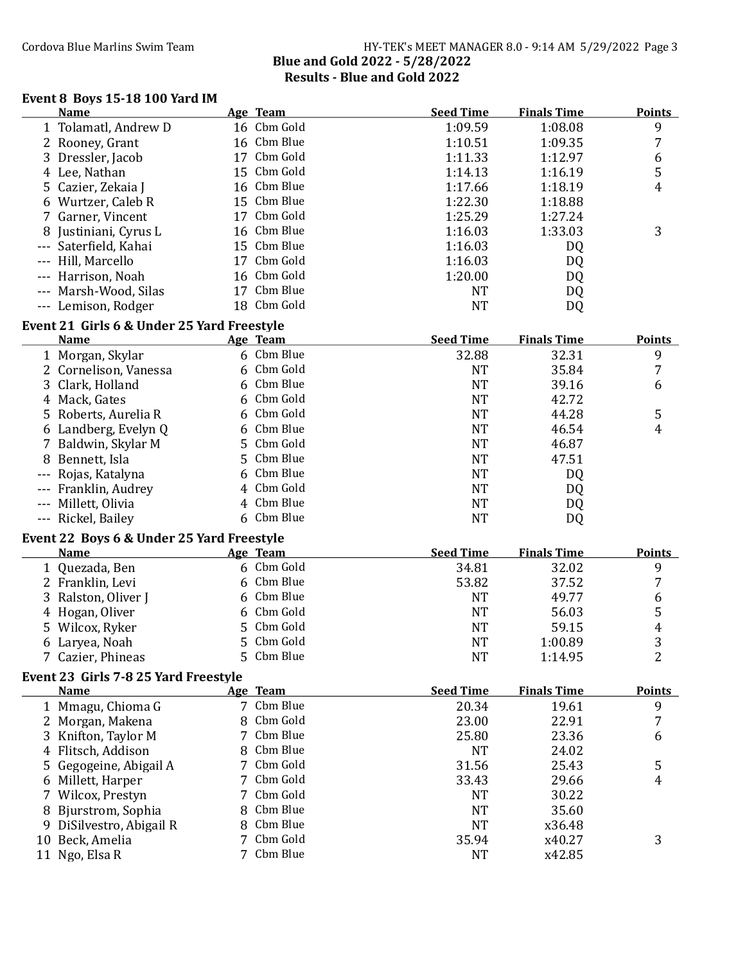### Cordova Blue Marlins Swim Team Team HY-TEK's MEET MANAGER 8.0 - 9:14 AM 5/29/2022 Page 3 Blue and Gold 2022 - 5/28/2022 Results - Blue and Gold 2022

#### Event 8 Boys 15-18 100 Yard IM

| Name                  | Age Team        | <b>Seed Time</b> | <b>Finals Time</b> | <b>Points</b> |
|-----------------------|-----------------|------------------|--------------------|---------------|
| 1 Tolamatl, Andrew D  | 16 Cbm Gold     | 1:09.59          | 1:08.08            | 9             |
| 2 Rooney, Grant       | 16 Cbm Blue     | 1:10.51          | 1:09.35            | 7             |
| 3 Dressler, Jacob     | 17 Cbm Gold     | 1:11.33          | 1:12.97            | 6             |
| 4 Lee, Nathan         | 15 Cbm Gold     | 1:14.13          | 1:16.19            | 5             |
| 5 Cazier, Zekaia J    | 16 Cbm Blue     | 1:17.66          | 1:18.19            | 4             |
| 6 Wurtzer, Caleb R    | 15 Cbm Blue     | 1:22.30          | 1:18.88            |               |
| 7 Garner, Vincent     | 17 Cbm Gold     | 1:25.29          | 1:27.24            |               |
| 8 Justiniani, Cyrus L | 16 Cbm Blue     | 1:16.03          | 1:33.03            | 3             |
| --- Saterfield, Kahai | 15 Cbm Blue     | 1:16.03          | DQ                 |               |
| --- Hill, Marcello    | Cbm Gold<br>17  | 1:16.03          | DQ                 |               |
| --- Harrison, Noah    | 16 Cbm Gold     | 1:20.00          | DQ                 |               |
| --- Marsh-Wood, Silas | 17 Cbm Blue     | NT               | DQ                 |               |
| Lemison, Rodger       | Cbm Gold<br>18. | NT               | DQ                 |               |
|                       |                 |                  |                    |               |

### Event 21 Girls 6 & Under 25 Yard Freestyle

| <b>Name</b>           | Age Team   | <b>Seed Time</b> | <b>Finals Time</b> | <b>Points</b> |
|-----------------------|------------|------------------|--------------------|---------------|
| 1 Morgan, Skylar      | 6 Cbm Blue | 32.88            | 32.31              | 9             |
| 2 Cornelison, Vanessa | 6 Cbm Gold | NT               | 35.84              |               |
| 3 Clark, Holland      | 6 Cbm Blue | <b>NT</b>        | 39.16              | 6             |
| 4 Mack, Gates         | 6 Cbm Gold | NT               | 42.72              |               |
| 5 Roberts, Aurelia R  | 6 Cbm Gold | <b>NT</b>        | 44.28              | 5             |
| 6 Landberg, Evelyn Q  | 6 Cbm Blue | NT               | 46.54              | 4             |
| 7 Baldwin, Skylar M   | 5 Cbm Gold | <b>NT</b>        | 46.87              |               |
| 8 Bennett, Isla       | 5 Cbm Blue | <b>NT</b>        | 47.51              |               |
| --- Rojas, Katalyna   | 6 Cbm Blue | NT               | DQ                 |               |
| --- Franklin, Audrey  | 4 Cbm Gold | NT               | DQ                 |               |
| --- Millett, Olivia   | 4 Cbm Blue | NT               | DQ                 |               |
| --- Rickel, Bailey    | 6 Cbm Blue | NT               | DQ                 |               |

#### Event 22 Boys 6 & Under 25 Yard Freestyle

| <b>Name</b>         | Age Team   | <b>Seed Time</b> | <b>Finals Time</b> | <b>Points</b> |
|---------------------|------------|------------------|--------------------|---------------|
| 1 Quezada, Ben      | 6 Cbm Gold | 34.81            | 32.02              |               |
| 2 Franklin, Levi    | 6 Cbm Blue | 53.82            | 37.52              |               |
| 3 Ralston, Oliver J | 6 Cbm Blue | NT               | 49.77              | 6             |
| 4 Hogan, Oliver     | 6 Cbm Gold | <b>NT</b>        | 56.03              |               |
| 5 Wilcox, Ryker     | 5 Cbm Gold | NT               | 59.15              | 4             |
| 6 Laryea, Noah      | 5 Cbm Gold | <b>NT</b>        | 1:00.89            | 3             |
| 7 Cazier, Phineas   | 5 Cbm Blue | NT               | 1:14.95            |               |

### Event 23 Girls 7-8 25 Yard Freestyle

| <b>Name</b>              | <b>Age Team</b> | <b>Seed Time</b> | <b>Finals Time</b> | <b>Points</b> |
|--------------------------|-----------------|------------------|--------------------|---------------|
| 1 Mmagu, Chioma G        | 7 Cbm Blue      | 20.34            | 19.61              | 9             |
| 2 Morgan, Makena         | 8 Cbm Gold      | 23.00            | 22.91              | 7             |
| 3 Knifton, Taylor M      | 7 Cbm Blue      | 25.80            | 23.36              | 6             |
| 4 Flitsch, Addison       | 8 Cbm Blue      | <b>NT</b>        | 24.02              |               |
| 5 Gegogeine, Abigail A   | 7 Cbm Gold      | 31.56            | 25.43              | 5             |
| 6 Millett, Harper        | 7 Cbm Gold      | 33.43            | 29.66              | 4             |
| 7 Wilcox, Prestyn        | 7 Cbm Gold      | NT               | 30.22              |               |
| 8 Bjurstrom, Sophia      | 8 Cbm Blue      | NT               | 35.60              |               |
| 9 DiSilvestro, Abigail R | 8 Cbm Blue      | NT               | x36.48             |               |
| 10 Beck, Amelia          | 7 Cbm Gold      | 35.94            | x40.27             | 3             |
| Ngo, Elsa R              | 7 Cbm Blue      | NT               | x42.85             |               |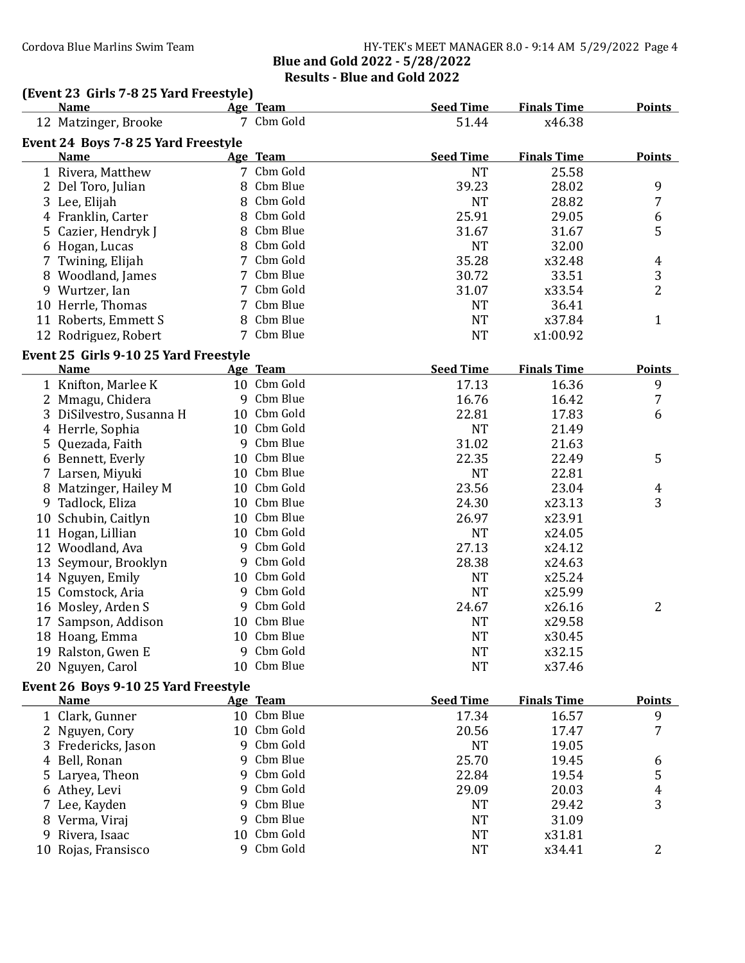### Cordova Blue Marlins Swim Team **HY-TEK's MEET MANAGER 8.0 - 9:14 AM 5/29/2022** Page 4 Blue and Gold 2022 - 5/28/2022 Results - Blue and Gold 2022

## (Event 23 Girls 7-8 25 Yard Freestyle)<br>Name Age Team

|   | <b>Name</b>                           |                | Age Team                   | <b>Seed Time</b>          | <b>Finals Time</b>          | <b>Points</b>  |
|---|---------------------------------------|----------------|----------------------------|---------------------------|-----------------------------|----------------|
|   | 12 Matzinger, Brooke                  |                | 7 Cbm Gold                 | 51.44                     | x46.38                      |                |
|   | Event 24 Boys 7-8 25 Yard Freestyle   |                |                            |                           |                             |                |
|   | <b>Name</b>                           |                | Age Team                   | <b>Seed Time</b>          | <b>Finals Time</b>          | <b>Points</b>  |
|   | 1 Rivera, Matthew                     |                | 7 Cbm Gold                 | <b>NT</b>                 | 25.58                       |                |
|   | 2 Del Toro, Julian                    | 8              | Cbm Blue                   | 39.23                     | 28.02                       | 9              |
|   | 3 Lee, Elijah                         | 8              | Cbm Gold                   | <b>NT</b>                 | 28.82                       | 7              |
|   | 4 Franklin, Carter                    | 8              | Cbm Gold                   | 25.91                     | 29.05                       | 6              |
|   | 5 Cazier, Hendryk J                   | 8              | Cbm Blue                   | 31.67                     | 31.67                       | 5              |
|   | 6 Hogan, Lucas                        | 8              | Cbm Gold                   | <b>NT</b>                 | 32.00                       |                |
|   | 7 Twining, Elijah                     | $\overline{7}$ | Cbm Gold                   | 35.28                     | x32.48                      | $\overline{4}$ |
|   | 8 Woodland, James                     |                | 7 Cbm Blue                 | 30.72                     | 33.51                       | 3              |
|   | 9 Wurtzer, Ian                        |                | 7 Cbm Gold                 | 31.07                     | x33.54                      | $\overline{2}$ |
|   | 10 Herrle, Thomas                     |                | 7 Cbm Blue                 | <b>NT</b>                 | 36.41                       |                |
|   | 11 Roberts, Emmett S                  |                | 8 Cbm Blue                 | <b>NT</b>                 | x37.84                      | $\mathbf{1}$   |
|   | 12 Rodriguez, Robert                  |                | 7 Cbm Blue                 | <b>NT</b>                 | x1:00.92                    |                |
|   |                                       |                |                            |                           |                             |                |
|   | Event 25 Girls 9-10 25 Yard Freestyle |                |                            |                           |                             |                |
|   | <b>Name</b>                           |                | Age Team<br>10 Cbm Gold    | <b>Seed Time</b><br>17.13 | <b>Finals Time</b><br>16.36 | <b>Points</b>  |
|   | 1 Knifton, Marlee K                   |                |                            |                           |                             | 9              |
|   | 2 Mmagu, Chidera                      |                | 9 Cbm Blue                 | 16.76                     | 16.42                       | 7              |
|   | 3 DiSilvestro, Susanna H              |                | 10 Cbm Gold<br>10 Cbm Gold | 22.81                     | 17.83                       | 6              |
|   | 4 Herrle, Sophia                      |                |                            | <b>NT</b>                 | 21.49                       |                |
|   | 5 Quezada, Faith                      |                | 9 Cbm Blue                 | 31.02                     | 21.63                       |                |
|   | 6 Bennett, Everly                     |                | 10 Cbm Blue                | 22.35                     | 22.49                       | 5              |
|   | 7 Larsen, Miyuki                      | 10             | Cbm Blue                   | <b>NT</b>                 | 22.81                       |                |
|   | 8 Matzinger, Hailey M                 | 10             | Cbm Gold                   | 23.56                     | 23.04                       | $\overline{4}$ |
| 9 | Tadlock, Eliza                        | 10             | Cbm Blue                   | 24.30                     | x23.13                      | 3              |
|   | 10 Schubin, Caitlyn                   | 10             | Cbm Blue                   | 26.97                     | x23.91                      |                |
|   | 11 Hogan, Lillian                     | 10             | Cbm Gold                   | <b>NT</b>                 | x24.05                      |                |
|   | 12 Woodland, Ava                      | 9              | Cbm Gold                   | 27.13                     | x24.12                      |                |
|   | 13 Seymour, Brooklyn                  |                | 9 Cbm Gold                 | 28.38                     | x24.63                      |                |
|   | 14 Nguyen, Emily                      |                | 10 Cbm Gold                | <b>NT</b>                 | x25.24                      |                |
|   | 15 Comstock, Aria                     | 9              | Cbm Gold                   | <b>NT</b>                 | x25.99                      |                |
|   | 16 Mosley, Arden S                    |                | 9 Cbm Gold                 | 24.67                     | x26.16                      | $\overline{2}$ |
|   | 17 Sampson, Addison                   | 10             | Cbm Blue                   | <b>NT</b>                 | x29.58                      |                |
|   | 18 Hoang, Emma                        |                | 10 Cbm Blue                | <b>NT</b>                 | x30.45                      |                |
|   | 19 Ralston, Gwen E                    |                | 9 Cbm Gold                 | NT                        | x32.15                      |                |
|   | 20 Nguyen, Carol                      |                | 10 Cbm Blue                | <b>NT</b>                 | x37.46                      |                |
|   | Event 26 Boys 9-10 25 Yard Freestyle  |                |                            |                           |                             |                |
|   | <b>Name</b>                           |                | Age Team                   | <b>Seed Time</b>          | <b>Finals Time</b>          | <b>Points</b>  |
|   | 1 Clark, Gunner                       |                | 10 Cbm Blue                | 17.34                     | 16.57                       | 9              |
|   | Nguyen, Cory                          | 10             | Cbm Gold                   | 20.56                     | 17.47                       | 7              |
|   | 3 Fredericks, Jason                   | 9              | Cbm Gold                   | <b>NT</b>                 | 19.05                       |                |
| 4 | Bell, Ronan                           | 9              | Cbm Blue                   | 25.70                     | 19.45                       | 6              |
|   | 5 Laryea, Theon                       | 9              | Cbm Gold                   | 22.84                     | 19.54                       | 5              |
|   | 6 Athey, Levi                         | 9              | Cbm Gold                   | 29.09                     | 20.03                       | 4              |
|   | Lee, Kayden                           | 9              | Cbm Blue                   | <b>NT</b>                 | 29.42                       | 3              |
|   | 8 Verma, Viraj                        | 9              | Cbm Blue                   | <b>NT</b>                 | 31.09                       |                |
| 9 | Rivera, Isaac                         | 10             | Cbm Gold                   | <b>NT</b>                 | x31.81                      |                |
|   | 10 Rojas, Fransisco                   |                | 9 Cbm Gold                 | NT                        | x34.41                      | 2              |
|   |                                       |                |                            |                           |                             |                |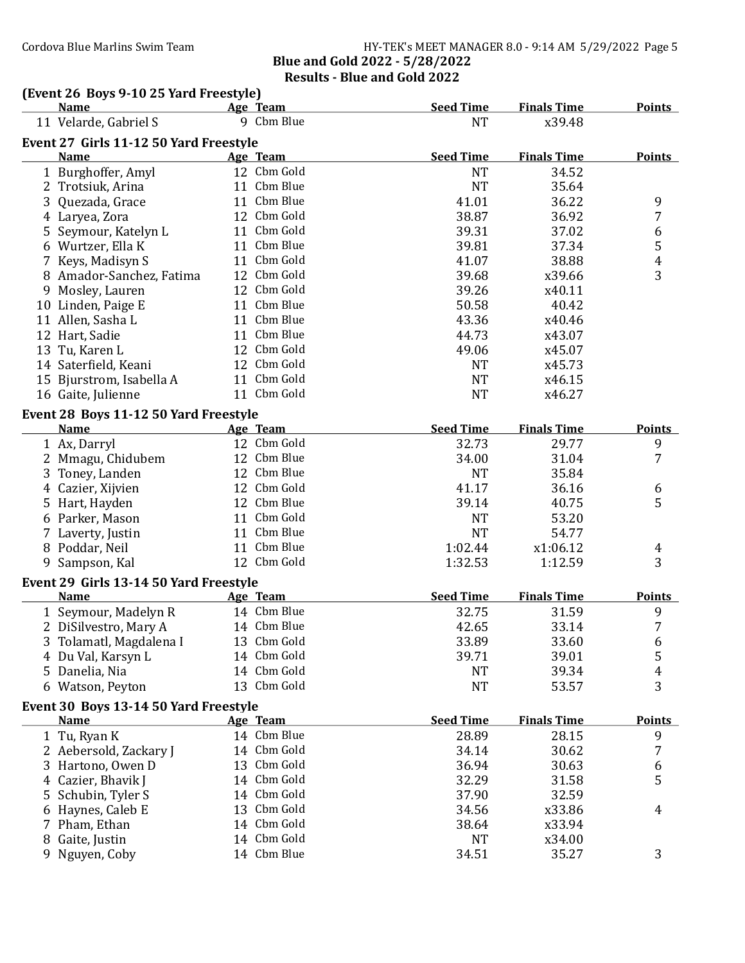### Cordova Blue Marlins Swim Team Team HY-TEK's MEET MANAGER 8.0 - 9:14 AM 5/29/2022 Page 5 Blue and Gold 2022 - 5/28/2022 Results - Blue and Gold 2022

# (Event 26 Boys 9-10 25 Yard Freestyle)<br>Name Age Team

|    | <b>Name</b>                            | Age Team        | <b>Seed Time</b> | <b>Finals Time</b> | <b>Points</b>    |
|----|----------------------------------------|-----------------|------------------|--------------------|------------------|
|    | 11 Velarde, Gabriel S                  | 9 Cbm Blue      | <b>NT</b>        | x39.48             |                  |
|    | Event 27 Girls 11-12 50 Yard Freestyle |                 |                  |                    |                  |
|    | <b>Name</b>                            | Age Team        | <b>Seed Time</b> | <b>Finals Time</b> | <b>Points</b>    |
|    | 1 Burghoffer, Amyl                     | 12 Cbm Gold     | <b>NT</b>        | 34.52              |                  |
|    | 2 Trotsiuk, Arina                      | 11 Cbm Blue     | <b>NT</b>        | 35.64              |                  |
|    | 3 Quezada, Grace                       | 11 Cbm Blue     | 41.01            | 36.22              | 9                |
|    | 4 Laryea, Zora                         | 12 Cbm Gold     | 38.87            | 36.92              | 7                |
|    | 5 Seymour, Katelyn L                   | 11 Cbm Gold     | 39.31            | 37.02              | 6                |
|    | 6 Wurtzer, Ella K                      | 11 Cbm Blue     | 39.81            | 37.34              | 5                |
|    | 7 Keys, Madisyn S                      | 11 Cbm Gold     | 41.07            | 38.88              | $\boldsymbol{4}$ |
|    | 8 Amador-Sanchez, Fatima               | 12 Cbm Gold     | 39.68            | x39.66             | 3                |
|    | 9 Mosley, Lauren                       | 12 Cbm Gold     | 39.26            | x40.11             |                  |
|    | 10 Linden, Paige E                     | 11 Cbm Blue     | 50.58            | 40.42              |                  |
|    | 11 Allen, Sasha L                      | 11 Cbm Blue     | 43.36            | x40.46             |                  |
|    | 12 Hart, Sadie                         | 11 Cbm Blue     | 44.73            | x43.07             |                  |
|    | 13 Tu, Karen L                         | 12 Cbm Gold     | 49.06            | x45.07             |                  |
|    | 14 Saterfield, Keani                   | 12 Cbm Gold     | NT               | x45.73             |                  |
|    | 15 Bjurstrom, Isabella A               | 11 Cbm Gold     | <b>NT</b>        | x46.15             |                  |
|    | 16 Gaite, Julienne                     | 11 Cbm Gold     | <b>NT</b>        | x46.27             |                  |
|    | Event 28 Boys 11-12 50 Yard Freestyle  |                 |                  |                    |                  |
|    | <b>Name</b>                            | Age Team        | <b>Seed Time</b> | <b>Finals Time</b> | <b>Points</b>    |
|    | 1 Ax, Darryl                           | 12 Cbm Gold     | 32.73            | 29.77              | 9                |
|    | 2 Mmagu, Chidubem                      | 12 Cbm Blue     | 34.00            | 31.04              | 7                |
|    | 3 Toney, Landen                        | 12 Cbm Blue     | <b>NT</b>        | 35.84              |                  |
|    | 4 Cazier, Xijvien                      | 12 Cbm Gold     | 41.17            | 36.16              | 6                |
|    | 5 Hart, Hayden                         | 12 Cbm Blue     | 39.14            | 40.75              | 5                |
|    | 6 Parker, Mason                        | 11 Cbm Gold     | <b>NT</b>        | 53.20              |                  |
|    | 7 Laverty, Justin                      | 11 Cbm Blue     | <b>NT</b>        | 54.77              |                  |
|    | 8 Poddar, Neil                         | 11 Cbm Blue     | 1:02.44          | x1:06.12           | 4                |
|    | 9 Sampson, Kal                         | 12 Cbm Gold     | 1:32.53          | 1:12.59            | 3                |
|    | Event 29 Girls 13-14 50 Yard Freestyle |                 |                  |                    |                  |
|    | <b>Name</b>                            | Age Team        | <b>Seed Time</b> | <b>Finals Time</b> | <b>Points</b>    |
|    | 1 Seymour, Madelyn R                   | 14 Cbm Blue     | 32.75            | 31.59              | 9                |
|    | 2 DiSilvestro, Mary A                  | 14 Cbm Blue     | 42.65            | 33.14              | 7                |
|    | 3 Tolamatl, Magdalena I                | 13 Cbm Gold     | 33.89            | 33.60              | 6                |
|    | 4 Du Val, Karsyn L                     | 14 Cbm Gold     | 39.71            | 39.01              | 5                |
|    | 5 Danelia, Nia                         | 14 Cbm Gold     | <b>NT</b>        | 39.34              | 4                |
|    | 6 Watson, Peyton                       | 13 Cbm Gold     | <b>NT</b>        | 53.57              | 3                |
|    | Event 30 Boys 13-14 50 Yard Freestyle  |                 |                  |                    |                  |
|    | <b>Name</b>                            | <b>Age Team</b> | <b>Seed Time</b> | <b>Finals Time</b> | <b>Points</b>    |
|    | 1 Tu, Ryan K                           | 14 Cbm Blue     | 28.89            | 28.15              | 9                |
|    | 2 Aebersold, Zackary J                 | 14 Cbm Gold     | 34.14            | 30.62              | 7                |
|    | 3 Hartono, Owen D                      | 13 Cbm Gold     | 36.94            | 30.63              | 6                |
|    | 4 Cazier, Bhavik J                     | 14 Cbm Gold     | 32.29            | 31.58              | 5                |
|    | 5 Schubin, Tyler S                     | 14 Cbm Gold     | 37.90            | 32.59              |                  |
|    | 6 Haynes, Caleb E                      | 13 Cbm Gold     | 34.56            | x33.86             | 4                |
|    | 7 Pham, Ethan                          | 14 Cbm Gold     | 38.64            | x33.94             |                  |
|    | 8 Gaite, Justin                        | 14 Cbm Gold     | NT               | x34.00             |                  |
| 9. | Nguyen, Coby                           | 14 Cbm Blue     | 34.51            | 35.27              | 3                |
|    |                                        |                 |                  |                    |                  |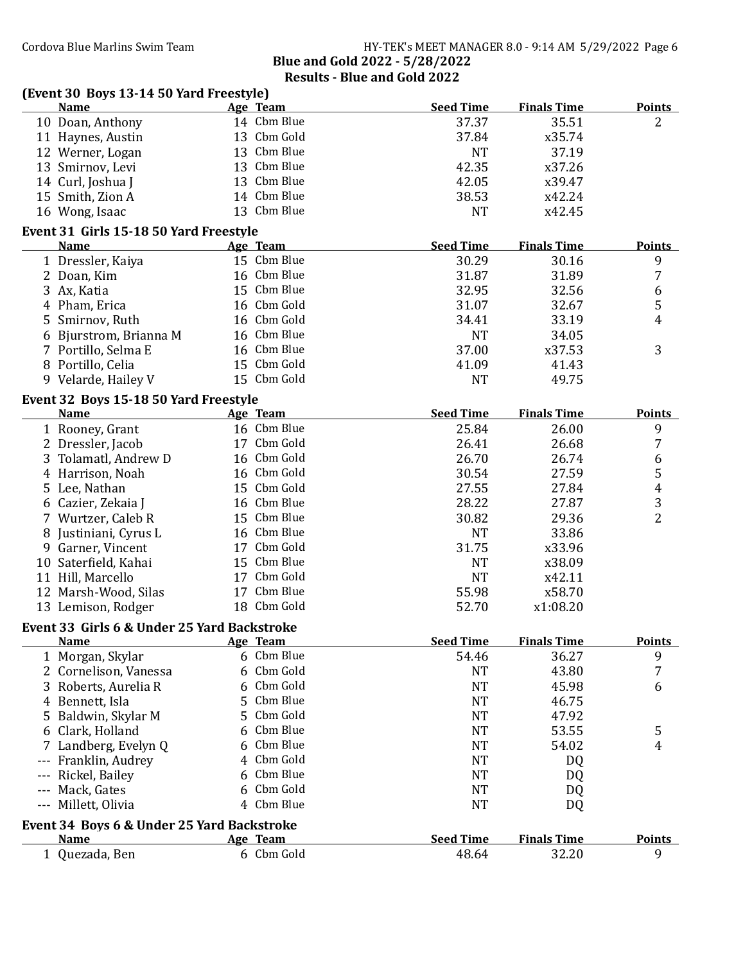|    | (Event 30 Boys 13-14 50 Yard Freestyle)              |   |             |                  |                    |                |
|----|------------------------------------------------------|---|-------------|------------------|--------------------|----------------|
|    | <b>Name</b>                                          |   | Age Team    | <b>Seed Time</b> | <b>Finals Time</b> | <b>Points</b>  |
|    | 10 Doan, Anthony                                     |   | 14 Cbm Blue | 37.37            | 35.51              | 2              |
|    | 11 Haynes, Austin                                    |   | 13 Cbm Gold | 37.84            | x35.74             |                |
|    | 12 Werner, Logan                                     |   | 13 Cbm Blue | <b>NT</b>        | 37.19              |                |
|    | 13 Smirnov, Levi                                     |   | 13 Cbm Blue | 42.35            | x37.26             |                |
|    | 14 Curl, Joshua J                                    |   | 13 Cbm Blue | 42.05            | x39.47             |                |
|    | 15 Smith, Zion A                                     |   | 14 Cbm Blue | 38.53            | x42.24             |                |
|    | 16 Wong, Isaac                                       |   | 13 Cbm Blue | <b>NT</b>        | x42.45             |                |
|    | Event 31 Girls 15-18 50 Yard Freestyle               |   |             |                  |                    |                |
|    | <b>Name</b>                                          |   | Age Team    | <b>Seed Time</b> | <b>Finals Time</b> | <b>Points</b>  |
|    | 1 Dressler, Kaiya                                    |   | 15 Cbm Blue | 30.29            | 30.16              | 9              |
|    | 2 Doan, Kim                                          |   | 16 Cbm Blue | 31.87            | 31.89              | $\overline{7}$ |
|    | 3 Ax, Katia                                          |   | 15 Cbm Blue | 32.95            | 32.56              | 6              |
|    | 4 Pham, Erica                                        |   | 16 Cbm Gold | 31.07            | 32.67              | 5              |
|    | 5 Smirnov, Ruth                                      |   | 16 Cbm Gold | 34.41            | 33.19              | 4              |
|    | 6 Bjurstrom, Brianna M                               |   | 16 Cbm Blue | <b>NT</b>        | 34.05              |                |
|    | 7 Portillo, Selma E                                  |   | 16 Cbm Blue | 37.00            | x37.53             | 3              |
|    | 8 Portillo, Celia                                    |   | 15 Cbm Gold | 41.09            | 41.43              |                |
|    | 9 Velarde, Hailey V                                  |   | 15 Cbm Gold | <b>NT</b>        | 49.75              |                |
|    |                                                      |   |             |                  |                    |                |
|    | Event 32 Boys 15-18 50 Yard Freestyle<br><b>Name</b> |   | Age Team    | <b>Seed Time</b> | <b>Finals Time</b> | <b>Points</b>  |
|    | 1 Rooney, Grant                                      |   | 16 Cbm Blue | 25.84            | 26.00              | 9              |
|    | 2 Dressler, Jacob                                    |   | 17 Cbm Gold | 26.41            | 26.68              | $\overline{7}$ |
|    |                                                      |   | 16 Cbm Gold | 26.70            | 26.74              |                |
|    | 3 Tolamatl, Andrew D                                 |   | 16 Cbm Gold |                  |                    | 6              |
|    | 4 Harrison, Noah                                     |   |             | 30.54            | 27.59              | 5              |
|    | 5 Lee, Nathan                                        |   | 15 Cbm Gold | 27.55            | 27.84              | 4              |
|    | 6 Cazier, Zekaia J                                   |   | 16 Cbm Blue | 28.22            | 27.87              | 3              |
|    | 7 Wurtzer, Caleb R                                   |   | 15 Cbm Blue | 30.82            | 29.36              | $\overline{2}$ |
|    | 8 Justiniani, Cyrus L                                |   | 16 Cbm Blue | <b>NT</b>        | 33.86              |                |
|    | 9 Garner, Vincent                                    |   | 17 Cbm Gold | 31.75            | x33.96             |                |
|    | 10 Saterfield, Kahai                                 |   | 15 Cbm Blue | <b>NT</b>        | x38.09             |                |
|    | 11 Hill, Marcello                                    |   | 17 Cbm Gold | <b>NT</b>        | x42.11             |                |
|    | 12 Marsh-Wood, Silas                                 |   | 17 Cbm Blue | 55.98            | x58.70             |                |
|    | 13 Lemison, Rodger                                   |   | 18 Cbm Gold | 52.70            | x1:08.20           |                |
|    | Event 33 Girls 6 & Under 25 Yard Backstroke          |   |             |                  |                    |                |
|    | <b>Name</b>                                          |   | Age Team    | <b>Seed Time</b> | <b>Finals Time</b> | <b>Points</b>  |
|    | 1 Morgan, Skylar                                     | 6 | Cbm Blue    | 54.46            | 36.27              | 9              |
|    | 2 Cornelison, Vanessa                                | 6 | Cbm Gold    | <b>NT</b>        | 43.80              | 7              |
|    | 3 Roberts, Aurelia R                                 | 6 | Cbm Gold    | <b>NT</b>        | 45.98              | 6              |
|    | 4 Bennett, Isla                                      | 5 | Cbm Blue    | <b>NT</b>        | 46.75              |                |
| 5. | Baldwin, Skylar M                                    | 5 | Cbm Gold    | <b>NT</b>        | 47.92              |                |
| 6  | Clark, Holland                                       | 6 | Cbm Blue    | <b>NT</b>        | 53.55              | 5              |
| 7  | Landberg, Evelyn Q                                   | 6 | Cbm Blue    | <b>NT</b>        | 54.02              | 4              |
|    | Franklin, Audrey                                     | 4 | Cbm Gold    | <b>NT</b>        | DQ                 |                |
|    | Rickel, Bailey                                       | 6 | Cbm Blue    | <b>NT</b>        | DQ                 |                |
|    | Mack, Gates                                          | 6 | Cbm Gold    | <b>NT</b>        | DQ                 |                |
|    | --- Millett, Olivia                                  | 4 | Cbm Blue    | <b>NT</b>        | DQ                 |                |
|    | Event 34 Boys 6 & Under 25 Yard Backstroke           |   |             |                  |                    |                |
|    | <b>Name</b>                                          |   | Age Team    | <b>Seed Time</b> | <b>Finals Time</b> | <b>Points</b>  |
|    | 1 Quezada, Ben                                       |   | 6 Cbm Gold  | 48.64            | 32.20              | 9              |
|    |                                                      |   |             |                  |                    |                |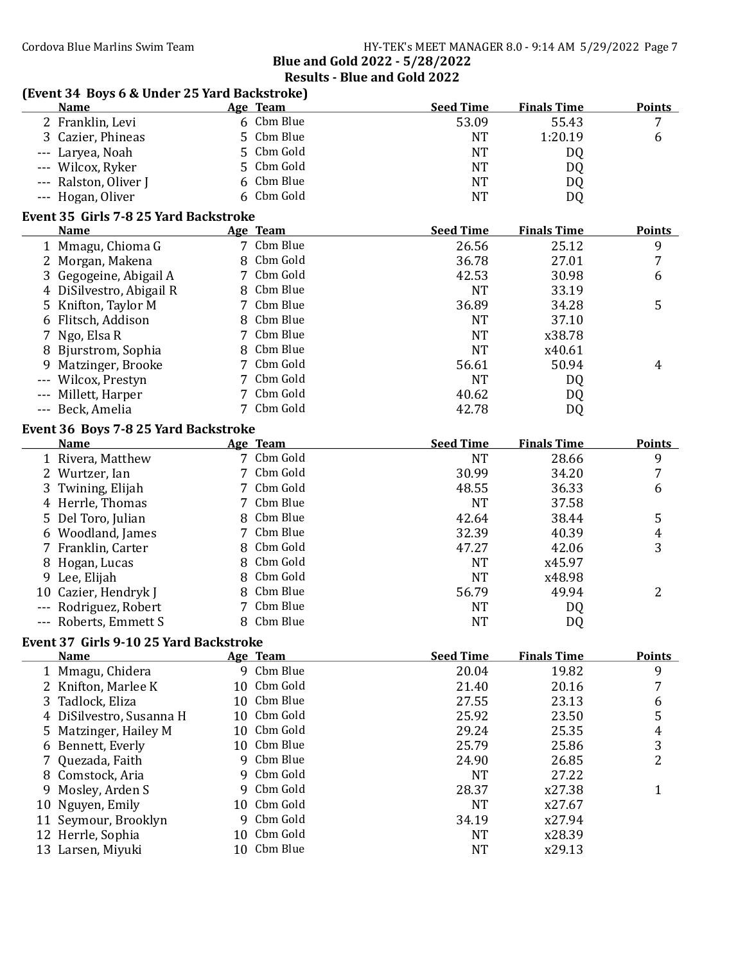Results - Blue and Gold 2022

| (Event 34 Boys 6 & Under 25 Yard Backstroke) |    |             |                  |                    |                         |
|----------------------------------------------|----|-------------|------------------|--------------------|-------------------------|
| <b>Name</b>                                  |    | Age Team    | <b>Seed Time</b> | <b>Finals Time</b> | <b>Points</b>           |
| 2 Franklin, Levi                             |    | 6 Cbm Blue  | 53.09            | 55.43              | 7                       |
| 3 Cazier, Phineas                            |    | 5 Cbm Blue  | <b>NT</b>        | 1:20.19            | 6                       |
| --- Laryea, Noah                             |    | 5 Cbm Gold  | <b>NT</b>        | DQ                 |                         |
| --- Wilcox, Ryker                            | 5  | Cbm Gold    | <b>NT</b>        | DQ                 |                         |
| --- Ralston, Oliver J                        | 6  | Cbm Blue    | <b>NT</b>        | DQ                 |                         |
| --- Hogan, Oliver                            |    | 6 Cbm Gold  | <b>NT</b>        | DQ.                |                         |
| Event 35 Girls 7-8 25 Yard Backstroke        |    |             |                  |                    |                         |
| <b>Name</b>                                  |    | Age Team    | <b>Seed Time</b> | <b>Finals Time</b> | <b>Points</b>           |
| 1 Mmagu, Chioma G                            |    | 7 Cbm Blue  | 26.56            | 25.12              | 9                       |
| 2 Morgan, Makena                             |    | 8 Cbm Gold  | 36.78            | 27.01              | 7                       |
| 3 Gegogeine, Abigail A                       |    | 7 Cbm Gold  | 42.53            | 30.98              | 6                       |
| DiSilvestro, Abigail R<br>4                  |    | 8 Cbm Blue  | <b>NT</b>        | 33.19              |                         |
| 5<br>Knifton, Taylor M                       |    | 7 Cbm Blue  | 36.89            | 34.28              | 5                       |
| 6 Flitsch, Addison                           |    | 8 Cbm Blue  | <b>NT</b>        | 37.10              |                         |
| 7 Ngo, Elsa R                                |    | 7 Cbm Blue  | <b>NT</b>        | x38.78             |                         |
| Bjurstrom, Sophia                            |    | 8 Cbm Blue  | <b>NT</b>        | x40.61             |                         |
| Matzinger, Brooke<br>9                       |    | 7 Cbm Gold  | 56.61            | 50.94              | 4                       |
| Wilcox, Prestyn<br>---                       |    | Cbm Gold    | <b>NT</b>        | DQ                 |                         |
| Millett, Harper<br>---                       |    | Cbm Gold    | 40.62            | DQ                 |                         |
| --- Beck, Amelia                             |    | 7 Cbm Gold  | 42.78            | DQ                 |                         |
| Event 36 Boys 7-8 25 Yard Backstroke         |    |             |                  |                    |                         |
| <b>Name</b>                                  |    | Age Team    | <b>Seed Time</b> | <b>Finals Time</b> | <b>Points</b>           |
| 1 Rivera, Matthew                            |    | 7 Cbm Gold  | <b>NT</b>        | 28.66              | 9                       |
| 2 Wurtzer, Ian                               |    | 7 Cbm Gold  | 30.99            | 34.20              | 7                       |
| 3<br>Twining, Elijah                         |    | 7 Cbm Gold  | 48.55            | 36.33              | 6                       |
| 4 Herrle, Thomas                             |    | 7 Cbm Blue  | <b>NT</b>        | 37.58              |                         |
| 5<br>Del Toro, Julian                        |    | 8 Cbm Blue  | 42.64            | 38.44              | 5                       |
| 6 Woodland, James                            | 7  | Cbm Blue    | 32.39            | 40.39              | 4                       |
| Franklin, Carter<br>7                        | 8  | Cbm Gold    | 47.27            | 42.06              | 3                       |
| Hogan, Lucas<br>8                            | 8  | Cbm Gold    | <b>NT</b>        | x45.97             |                         |
| Lee, Elijah<br>9                             | 8  | Cbm Gold    | <b>NT</b>        | x48.98             |                         |
| 10 Cazier, Hendryk J                         | 8  | Cbm Blue    | 56.79            | 49.94              | 2                       |
| Rodriguez, Robert                            |    | Cbm Blue    | <b>NT</b>        | DQ                 |                         |
| --- Roberts, Emmett S                        | 8  | Cbm Blue    | <b>NT</b>        | DQ                 |                         |
| Event 37 Girls 9-10 25 Yard Backstroke       |    |             |                  |                    |                         |
| <b>Name</b>                                  |    | Age Team    | <b>Seed Time</b> | <b>Finals Time</b> | <b>Points</b>           |
| 1 Mmagu, Chidera                             |    | 9 Cbm Blue  | 20.04            | 19.82              | 9                       |
| 2 Knifton, Marlee K                          |    | 10 Cbm Gold | 21.40            | 20.16              | 7                       |
| 3<br>Tadlock, Eliza                          |    | 10 Cbm Blue | 27.55            | 23.13              | 6                       |
| DiSilvestro, Susanna H<br>4                  | 10 | Cbm Gold    | 25.92            | 23.50              | 5                       |
| Matzinger, Hailey M<br>5                     | 10 | Cbm Gold    | 29.24            | 25.35              | $\overline{\mathbf{r}}$ |
| Bennett, Everly<br>6                         |    | 10 Cbm Blue | 25.79            | 25.86              | 3                       |
| Quezada, Faith<br>7                          | 9  | Cbm Blue    | 24.90            | 26.85              | $\overline{2}$          |
| 8 Comstock, Aria                             | 9  | Cbm Gold    | <b>NT</b>        | 27.22              |                         |
| Mosley, Arden S<br>9                         | 9  | Cbm Gold    | 28.37            | x27.38             | $\mathbf{1}$            |
| Nguyen, Emily<br>10                          | 10 | Cbm Gold    | <b>NT</b>        | x27.67             |                         |
| Seymour, Brooklyn<br>11                      | 9  | Cbm Gold    | 34.19            | x27.94             |                         |
| 12 Herrle, Sophia                            | 10 | Cbm Gold    | <b>NT</b>        | x28.39             |                         |
| 13 Larsen, Miyuki                            |    | 10 Cbm Blue | <b>NT</b>        | x29.13             |                         |
|                                              |    |             |                  |                    |                         |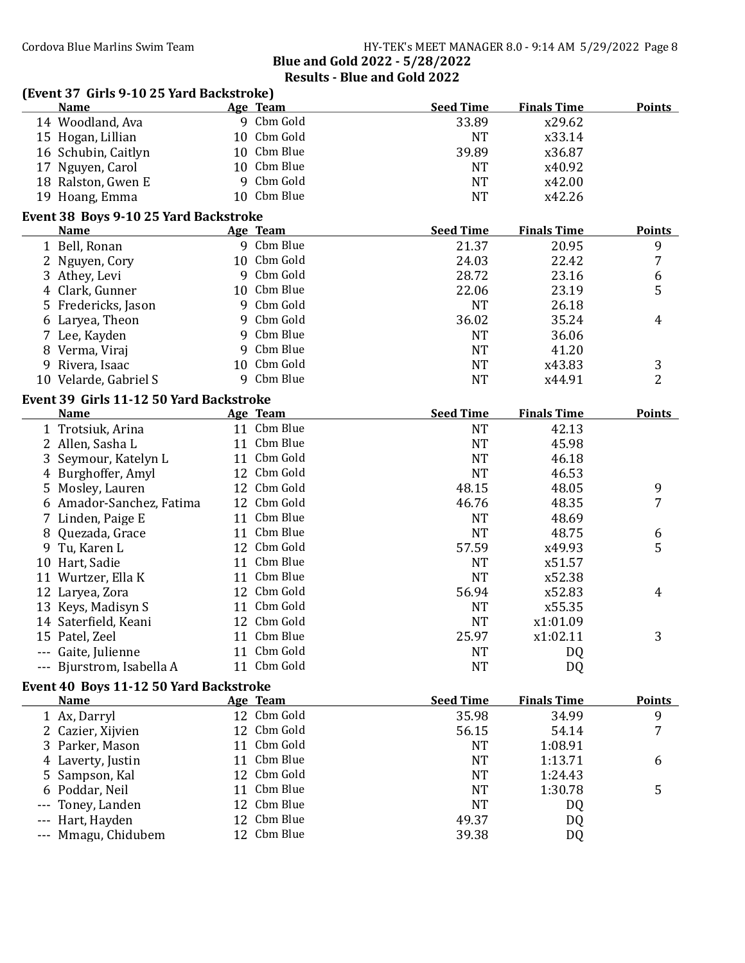|         | (Event 37 Girls 9-10 25 Yard Backstroke) |    |             |                  |                    |                |
|---------|------------------------------------------|----|-------------|------------------|--------------------|----------------|
|         | <b>Name</b>                              |    | Age Team    | <b>Seed Time</b> | <b>Finals Time</b> | <b>Points</b>  |
|         | 14 Woodland, Ava                         |    | 9 Cbm Gold  | 33.89            | x29.62             |                |
|         | 15 Hogan, Lillian                        | 10 | Cbm Gold    | <b>NT</b>        | x33.14             |                |
|         | 16 Schubin, Caitlyn                      |    | 10 Cbm Blue | 39.89            | x36.87             |                |
|         | 17 Nguyen, Carol                         |    | 10 Cbm Blue | <b>NT</b>        | x40.92             |                |
|         | 18 Ralston, Gwen E                       |    | 9 Cbm Gold  | <b>NT</b>        | x42.00             |                |
|         | 19 Hoang, Emma                           |    | 10 Cbm Blue | <b>NT</b>        | x42.26             |                |
|         | Event 38 Boys 9-10 25 Yard Backstroke    |    |             |                  |                    |                |
|         | <b>Name</b>                              |    | Age Team    | <b>Seed Time</b> | <b>Finals Time</b> | <b>Points</b>  |
|         | 1 Bell, Ronan                            |    | 9 Cbm Blue  | 21.37            | 20.95              | 9              |
|         | 2 Nguyen, Cory                           |    | 10 Cbm Gold | 24.03            | 22.42              | 7              |
|         | 3 Athey, Levi                            |    | 9 Cbm Gold  | 28.72            | 23.16              | 6              |
|         | 4 Clark, Gunner                          |    | 10 Cbm Blue | 22.06            | 23.19              | 5              |
|         | 5 Fredericks, Jason                      |    | 9 Cbm Gold  | <b>NT</b>        | 26.18              |                |
|         |                                          |    | 9 Cbm Gold  | 36.02            | 35.24              | 4              |
|         | 6 Laryea, Theon                          |    | 9 Cbm Blue  |                  | 36.06              |                |
|         | 7 Lee, Kayden                            | 9  | Cbm Blue    | <b>NT</b>        |                    |                |
|         | 8 Verma, Viraj                           |    | 10 Cbm Gold | <b>NT</b>        | 41.20              |                |
|         | 9 Rivera, Isaac                          |    |             | <b>NT</b>        | x43.83             | 3              |
|         | 10 Velarde, Gabriel S                    |    | 9 Cbm Blue  | <b>NT</b>        | x44.91             | $\overline{2}$ |
|         | Event 39 Girls 11-12 50 Yard Backstroke  |    |             |                  |                    |                |
|         | <b>Name</b>                              |    | Age Team    | <b>Seed Time</b> | <b>Finals Time</b> | <b>Points</b>  |
|         | 1 Trotsiuk, Arina                        |    | 11 Cbm Blue | <b>NT</b>        | 42.13              |                |
|         | 2 Allen, Sasha L                         |    | 11 Cbm Blue | <b>NT</b>        | 45.98              |                |
|         | 3 Seymour, Katelyn L                     |    | 11 Cbm Gold | <b>NT</b>        | 46.18              |                |
|         | 4 Burghoffer, Amyl                       |    | 12 Cbm Gold | <b>NT</b>        | 46.53              |                |
|         | 5 Mosley, Lauren                         |    | 12 Cbm Gold | 48.15            | 48.05              | 9              |
|         | 6 Amador-Sanchez, Fatima                 |    | 12 Cbm Gold | 46.76            | 48.35              | 7              |
|         | 7 Linden, Paige E                        |    | 11 Cbm Blue | <b>NT</b>        | 48.69              |                |
| 8       | Quezada, Grace                           |    | 11 Cbm Blue | <b>NT</b>        | 48.75              | 6              |
|         | 9 Tu, Karen L                            |    | 12 Cbm Gold | 57.59            | x49.93             | 5              |
|         | 10 Hart, Sadie                           |    | 11 Cbm Blue | <b>NT</b>        | x51.57             |                |
|         | 11 Wurtzer, Ella K                       |    | 11 Cbm Blue | <b>NT</b>        | x52.38             |                |
|         | 12 Laryea, Zora                          |    | 12 Cbm Gold | 56.94            | x52.83             | 4              |
|         | 13 Keys, Madisyn S                       |    | 11 Cbm Gold | <b>NT</b>        | x55.35             |                |
|         | 14 Saterfield, Keani                     |    | 12 Cbm Gold | <b>NT</b>        | x1:01.09           |                |
|         | 15 Patel, Zeel                           |    | 11 Cbm Blue | 25.97            | x1:02.11           | 3              |
|         | --- Gaite, Julienne                      |    | 11 Cbm Gold | <b>NT</b>        | DQ                 |                |
|         | --- Bjurstrom, Isabella A                |    | 11 Cbm Gold | <b>NT</b>        | DQ                 |                |
|         | Event 40 Boys 11-12 50 Yard Backstroke   |    |             |                  |                    |                |
|         | <b>Name</b>                              |    | Age Team    | <b>Seed Time</b> | <b>Finals Time</b> | <b>Points</b>  |
|         | 1 Ax, Darryl                             |    | 12 Cbm Gold | 35.98            | 34.99              | 9              |
|         | 2 Cazier, Xijvien                        |    | 12 Cbm Gold | 56.15            | 54.14              | 7              |
|         | 3 Parker, Mason                          | 11 | Cbm Gold    | <b>NT</b>        | 1:08.91            |                |
|         | 4 Laverty, Justin                        | 11 | Cbm Blue    | <b>NT</b>        | 1:13.71            |                |
|         |                                          |    | 12 Cbm Gold | <b>NT</b>        | 1:24.43            | 6              |
|         | 5 Sampson, Kal                           | 11 | Cbm Blue    | <b>NT</b>        | 1:30.78            |                |
| 6       | Poddar, Neil                             |    | Cbm Blue    |                  |                    | 5              |
|         | Toney, Landen                            | 12 |             | <b>NT</b>        | DQ                 |                |
| $- - -$ | Hart, Hayden                             | 12 | Cbm Blue    | 49.37            | DQ                 |                |
|         | Mmagu, Chidubem                          |    | 12 Cbm Blue | 39.38            | DQ                 |                |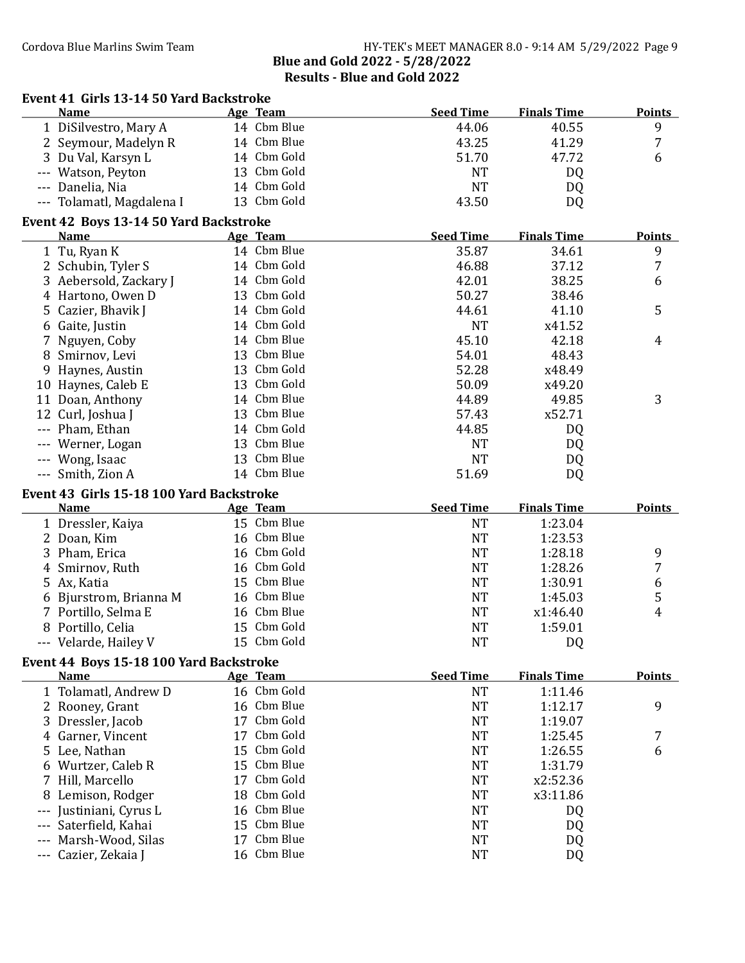|          | <b>Name</b>                                             |    | Age Team                   | <b>Seed Time</b>       | <b>Finals Time</b> | <b>Points</b>       |
|----------|---------------------------------------------------------|----|----------------------------|------------------------|--------------------|---------------------|
|          | 1 DiSilvestro, Mary A                                   |    | 14 Cbm Blue                | 44.06                  | 40.55              | 9                   |
|          | 2 Seymour, Madelyn R                                    |    | 14 Cbm Blue                | 43.25                  | 41.29              | 7                   |
|          | 3 Du Val, Karsyn L                                      |    | 14 Cbm Gold                | 51.70                  | 47.72              | 6                   |
|          | Watson, Peyton                                          |    | 13 Cbm Gold                | <b>NT</b>              | DQ                 |                     |
| $\cdots$ | Danelia, Nia                                            |    | 14 Cbm Gold                | <b>NT</b>              | DQ                 |                     |
|          | --- Tolamatl, Magdalena I                               |    | 13 Cbm Gold                | 43.50                  | DQ                 |                     |
|          | Event 42 Boys 13-14 50 Yard Backstroke                  |    |                            |                        |                    |                     |
|          | <b>Name</b>                                             |    | Age Team                   | <b>Seed Time</b>       | <b>Finals Time</b> | <b>Points</b>       |
|          | 1 Tu, Ryan K                                            |    | 14 Cbm Blue                | 35.87                  | 34.61              | 9                   |
|          | 2 Schubin, Tyler S                                      |    | 14 Cbm Gold                | 46.88                  | 37.12              | 7                   |
|          | 3 Aebersold, Zackary J                                  |    | 14 Cbm Gold                | 42.01                  | 38.25              | 6                   |
|          | 4 Hartono, Owen D                                       |    | 13 Cbm Gold                | 50.27                  | 38.46              |                     |
|          | 5 Cazier, Bhavik J                                      |    | 14 Cbm Gold                | 44.61                  | 41.10              | 5                   |
|          | 6 Gaite, Justin                                         |    | 14 Cbm Gold                | <b>NT</b>              | x41.52             |                     |
|          | 7 Nguyen, Coby                                          |    | 14 Cbm Blue                | 45.10                  | 42.18              | 4                   |
|          | 8 Smirnov, Levi                                         |    | 13 Cbm Blue                | 54.01                  | 48.43              |                     |
|          | 9 Haynes, Austin                                        |    | 13 Cbm Gold                | 52.28                  | x48.49             |                     |
|          | 10 Haynes, Caleb E                                      |    | 13 Cbm Gold                | 50.09                  | x49.20             |                     |
|          | 11 Doan, Anthony                                        |    | 14 Cbm Blue                | 44.89                  | 49.85              | 3                   |
|          | 12 Curl, Joshua J                                       |    | 13 Cbm Blue                | 57.43                  | x52.71             |                     |
|          | --- Pham, Ethan                                         |    | 14 Cbm Gold                | 44.85                  | DQ                 |                     |
|          | Werner, Logan                                           |    | 13 Cbm Blue                | <b>NT</b>              | DQ                 |                     |
|          | Wong, Isaac                                             |    | 13 Cbm Blue                | <b>NT</b>              | DQ                 |                     |
|          | --- Smith, Zion A                                       |    | 14 Cbm Blue                | 51.69                  | DQ                 |                     |
|          |                                                         |    |                            |                        |                    |                     |
|          | Event 43 Girls 15-18 100 Yard Backstroke<br><b>Name</b> |    | Age Team                   | <b>Seed Time</b>       | <b>Finals Time</b> | <b>Points</b>       |
|          |                                                         |    | 15 Cbm Blue                | <b>NT</b>              | 1:23.04            |                     |
|          | 1 Dressler, Kaiya<br>2 Doan, Kim                        |    | 16 Cbm Blue                | <b>NT</b>              | 1:23.53            |                     |
|          |                                                         |    | 16 Cbm Gold                | <b>NT</b>              | 1:28.18            |                     |
|          | 3 Pham, Erica                                           |    | 16 Cbm Gold                | <b>NT</b>              | 1:28.26            | 9<br>$\overline{7}$ |
|          | 4 Smirnov, Ruth                                         |    | 15 Cbm Blue                |                        | 1:30.91            |                     |
|          | 5 Ax, Katia                                             |    | 16 Cbm Blue                | <b>NT</b><br><b>NT</b> |                    | 6                   |
|          | 6 Bjurstrom, Brianna M                                  |    | 16 Cbm Blue                |                        | 1:45.03            | 5<br>4              |
|          | 7 Portillo, Selma E                                     |    | 15 Cbm Gold                | <b>NT</b>              | x1:46.40           |                     |
|          | 8 Portillo, Celia                                       |    | 15 Cbm Gold                | <b>NT</b><br><b>NT</b> | 1:59.01            |                     |
|          | --- Velarde, Hailey V                                   |    |                            |                        | DQ                 |                     |
|          | Event 44 Boys 15-18 100 Yard Backstroke                 |    |                            |                        |                    |                     |
|          | <b>Name</b>                                             |    | Age Team                   | <b>Seed Time</b>       | <b>Finals Time</b> | <b>Points</b>       |
|          | 1 Tolamatl, Andrew D                                    |    | 16 Cbm Gold                | <b>NT</b>              | 1:11.46            |                     |
|          | 2 Rooney, Grant                                         |    | 16 Cbm Blue                | <b>NT</b>              | 1:12.17            | 9                   |
|          | 3 Dressler, Jacob                                       |    | 17 Cbm Gold                | <b>NT</b>              | 1:19.07            |                     |
|          | 4 Garner, Vincent                                       |    | 17 Cbm Gold                | <b>NT</b>              | 1:25.45            | 7                   |
|          | 5 Lee, Nathan                                           |    | 15 Cbm Gold                | <b>NT</b>              | 1:26.55            | 6                   |
|          | 6 Wurtzer, Caleb R                                      |    | 15 Cbm Blue                | <b>NT</b>              | 1:31.79            |                     |
|          | 7 Hill, Marcello                                        | 17 | Cbm Gold                   | <b>NT</b>              | x2:52.36           |                     |
|          | 8 Lemison, Rodger                                       | 18 | Cbm Gold                   | <b>NT</b>              | x3:11.86           |                     |
| $- - -$  | Justiniani, Cyrus L                                     | 16 | Cbm Blue                   | <b>NT</b>              | DQ                 |                     |
| $---$    |                                                         |    |                            |                        |                    |                     |
|          | Saterfield, Kahai                                       |    | 15 Cbm Blue                | <b>NT</b>              | DQ                 |                     |
| $---$    | Marsh-Wood, Silas<br>Cazier, Zekaia J                   |    | 17 Cbm Blue<br>16 Cbm Blue | <b>NT</b><br><b>NT</b> | DQ<br>DQ           |                     |

### Event 41 Girls 13-14 50 Yard Backstroke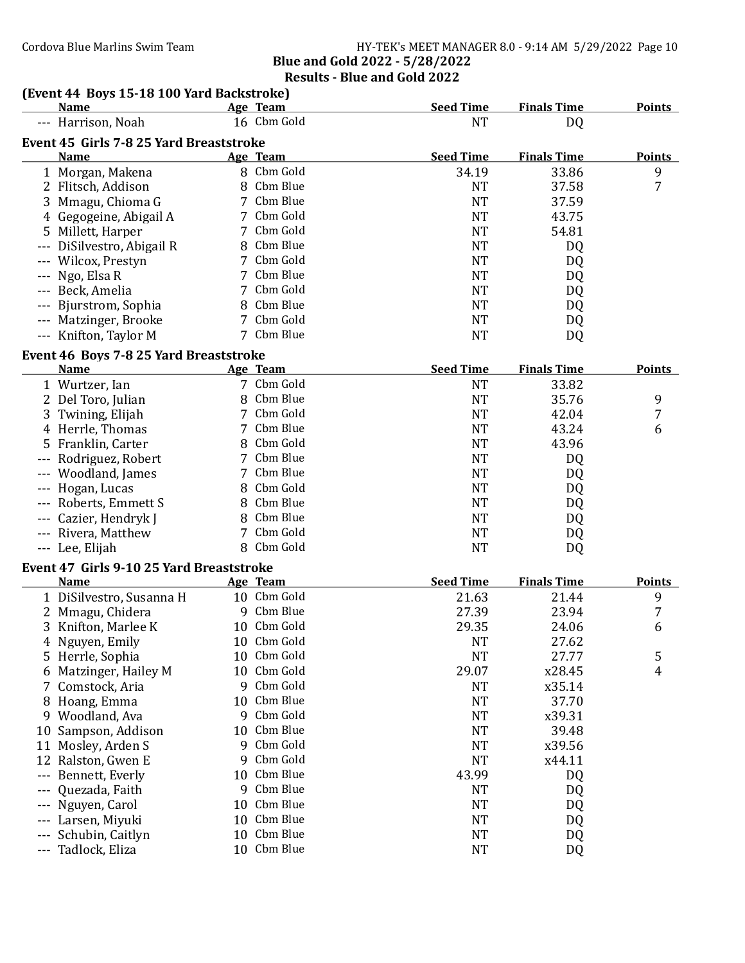### (Event 44 Boys 15-18 100 Yard Backstroke)

| (EVENT IT DOYS TO TO TOO THER DUCKSHOKE)<br><u>Name</u> |    | Age Team    | <b>Seed Time</b> | <b>Finals Time</b> | <b>Points</b> |
|---------------------------------------------------------|----|-------------|------------------|--------------------|---------------|
| --- Harrison, Noah                                      |    | 16 Cbm Gold | <b>NT</b>        | DQ                 |               |
| Event 45 Girls 7-8 25 Yard Breaststroke                 |    |             |                  |                    |               |
| <b>Name</b>                                             |    | Age Team    | <b>Seed Time</b> | <b>Finals Time</b> | <b>Points</b> |
| 1 Morgan, Makena                                        |    | 8 Cbm Gold  | 34.19            | 33.86              | 9             |
| 2 Flitsch, Addison                                      |    | 8 Cbm Blue  | <b>NT</b>        | 37.58              | 7             |
| 3 Mmagu, Chioma G                                       |    | 7 Cbm Blue  | <b>NT</b>        | 37.59              |               |
| 4 Gegogeine, Abigail A                                  |    | 7 Cbm Gold  | <b>NT</b>        | 43.75              |               |
| 5 Millett, Harper                                       |    | 7 Cbm Gold  | <b>NT</b>        | 54.81              |               |
| --- DiSilvestro, Abigail R                              |    | 8 Cbm Blue  | <b>NT</b>        | DQ                 |               |
| --- Wilcox, Prestyn                                     |    | 7 Cbm Gold  | <b>NT</b>        | DQ                 |               |
| Ngo, Elsa R                                             |    | 7 Cbm Blue  | <b>NT</b>        | DQ                 |               |
| Beck, Amelia                                            | 7  | Cbm Gold    | <b>NT</b>        | DQ                 |               |
| --- Bjurstrom, Sophia                                   | 8  | Cbm Blue    | <b>NT</b>        | DQ                 |               |
| --- Matzinger, Brooke                                   |    | 7 Cbm Gold  | <b>NT</b>        | DQ                 |               |
| --- Knifton, Taylor M                                   |    | 7 Cbm Blue  | <b>NT</b>        | DQ                 |               |
|                                                         |    |             |                  |                    |               |
| Event 46 Boys 7-8 25 Yard Breaststroke<br>Name          |    | Age Team    | <b>Seed Time</b> | <b>Finals Time</b> | <b>Points</b> |
| 1 Wurtzer, Ian                                          |    | 7 Cbm Gold  | <b>NT</b>        | 33.82              |               |
| 2 Del Toro, Julian                                      |    | 8 Cbm Blue  | <b>NT</b>        | 35.76              | 9             |
|                                                         |    | 7 Cbm Gold  | <b>NT</b>        | 42.04              | 7             |
| 3 Twining, Elijah                                       |    | 7 Cbm Blue  | <b>NT</b>        | 43.24              |               |
| 4 Herrle, Thomas                                        |    | 8 Cbm Gold  |                  |                    | 6             |
| 5 Franklin, Carter                                      |    | 7 Cbm Blue  | <b>NT</b>        | 43.96              |               |
| --- Rodriguez, Robert                                   |    | 7 Cbm Blue  | <b>NT</b>        | DQ                 |               |
| --- Woodland, James                                     |    |             | <b>NT</b>        | DQ                 |               |
| --- Hogan, Lucas                                        |    | 8 Cbm Gold  | <b>NT</b>        | DQ                 |               |
| --- Roberts, Emmett S                                   |    | 8 Cbm Blue  | <b>NT</b>        | DQ                 |               |
| --- Cazier, Hendryk J                                   |    | 8 Cbm Blue  | <b>NT</b>        | DQ                 |               |
| --- Rivera, Matthew                                     |    | 7 Cbm Gold  | <b>NT</b>        | DQ                 |               |
| --- Lee, Elijah                                         |    | 8 Cbm Gold  | <b>NT</b>        | DQ                 |               |
| Event 47 Girls 9-10 25 Yard Breaststroke                |    |             |                  |                    |               |
| <b>Name</b>                                             |    | Age Team    | <b>Seed Time</b> | <b>Finals Time</b> | <b>Points</b> |
| 1 DiSilvestro, Susanna H                                |    | 10 Cbm Gold | 21.63            | 21.44              | 9             |
| 2 Mmagu, Chidera                                        |    | 9 Cbm Blue  | 27.39            | 23.94              | 7             |
| 3 Knifton, Marlee K                                     |    | 10 Cbm Gold | 29.35            | 24.06              | 6             |
| 4 Nguyen, Emily                                         |    | 10 Cbm Gold | <b>NT</b>        | 27.62              |               |
| 5 Herrle, Sophia                                        |    | 10 Cbm Gold | <b>NT</b>        | 27.77              | 5             |
| 6 Matzinger, Hailey M                                   | 10 | Cbm Gold    | 29.07            | x28.45             | 4             |
| Comstock, Aria<br>7.                                    | 9  | Cbm Gold    | <b>NT</b>        | x35.14             |               |
| 8 Hoang, Emma                                           | 10 | Cbm Blue    | <b>NT</b>        | 37.70              |               |
| 9 Woodland, Ava                                         | 9  | Cbm Gold    | <b>NT</b>        | x39.31             |               |
| Sampson, Addison<br>10                                  | 10 | Cbm Blue    | <b>NT</b>        | 39.48              |               |
| Mosley, Arden S<br>11                                   | 9  | Cbm Gold    | <b>NT</b>        | x39.56             |               |
| Ralston, Gwen E<br>12                                   | 9  | Cbm Gold    | <b>NT</b>        | x44.11             |               |
| Bennett, Everly<br>---                                  | 10 | Cbm Blue    | 43.99            | DQ                 |               |
| Quezada, Faith<br>---                                   | 9  | Cbm Blue    | <b>NT</b>        | DQ                 |               |
| Nguyen, Carol                                           | 10 | Cbm Blue    | <b>NT</b>        | DQ                 |               |
| Larsen, Miyuki                                          | 10 | Cbm Blue    | <b>NT</b>        | <b>DQ</b>          |               |
| Schubin, Caitlyn                                        | 10 | Cbm Blue    | <b>NT</b>        | DQ                 |               |
| Tadlock, Eliza<br>---                                   |    | 10 Cbm Blue | <b>NT</b>        | <b>DQ</b>          |               |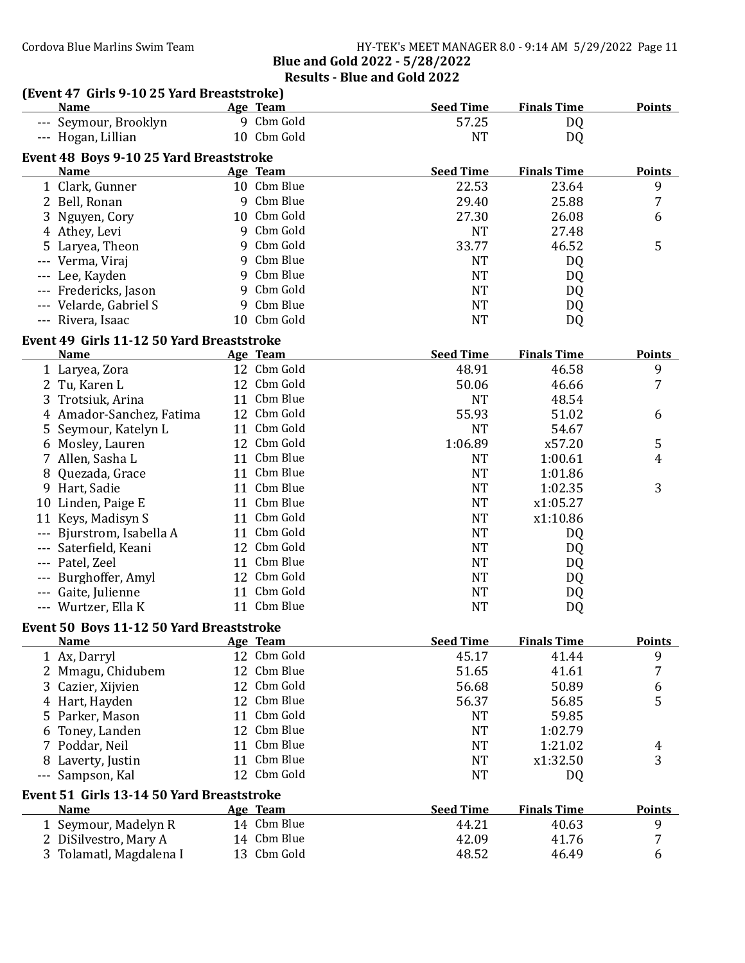## (Event 47 Girls 9-10 25 Yard Breaststroke)

| 9 Cbm Gold<br>57.25<br>--- Seymour, Brooklyn<br>DQ<br>10 Cbm Gold<br><b>NT</b><br>--- Hogan, Lillian<br>DQ<br>Event 48 Boys 9-10 25 Yard Breaststroke<br><b>Seed Time</b><br><b>Finals Time</b><br><b>Points</b><br><b>Name</b><br>Age Team<br>10 Cbm Blue<br>22.53<br>23.64<br>9<br>1 Clark, Gunner<br>7<br>9 Cbm Blue<br>29.40<br>25.88<br>2 Bell, Ronan<br>10 Cbm Gold<br>27.30<br>26.08<br>3 Nguyen, Cory<br>6<br>9 Cbm Gold<br><b>NT</b><br>27.48<br>4 Athey, Levi<br>Cbm Gold<br>5<br>33.77<br>46.52<br>9<br>5 Laryea, Theon<br>Cbm Blue<br><b>NT</b><br>--- Verma, Viraj<br>9<br>DQ<br>Cbm Blue<br><b>NT</b><br>9<br>--- Lee, Kayden<br>DQ<br>Cbm Gold<br><b>NT</b><br>--- Fredericks, Jason<br>9<br>DQ<br>9 Cbm Blue<br><b>NT</b><br>--- Velarde, Gabriel S<br>DQ<br>10 Cbm Gold<br>--- Rivera, Isaac<br><b>NT</b><br>DQ<br>Event 49 Girls 11-12 50 Yard Breaststroke<br><b>Seed Time</b><br><b>Finals Time</b><br><b>Points</b><br><b>Name</b><br>Age Team<br>12 Cbm Gold<br>9<br>48.91<br>46.58<br>1 Laryea, Zora<br>12 Cbm Gold<br>50.06<br>7<br>2 Tu, Karen L<br>46.66<br>11 Cbm Blue<br><b>NT</b><br>48.54<br>3 Trotsiuk, Arina<br>55.93<br>12 Cbm Gold<br>51.02<br>4 Amador-Sanchez, Fatima<br>6<br>11 Cbm Gold<br><b>NT</b><br>54.67<br>5 Seymour, Katelyn L<br>12 Cbm Gold<br>1:06.89<br>x57.20<br>5<br>6 Mosley, Lauren<br>11 Cbm Blue<br><b>NT</b><br>7 Allen, Sasha L<br>1:00.61<br>4<br>11 Cbm Blue<br>8 Quezada, Grace<br><b>NT</b><br>1:01.86<br>3<br>11 Cbm Blue<br><b>NT</b><br>9 Hart, Sadie<br>1:02.35<br>11 Cbm Blue<br><b>NT</b><br>x1:05.27<br>10 Linden, Paige E<br>Cbm Gold<br><b>NT</b><br>Keys, Madisyn S<br>11<br>x1:10.86<br>11<br>Cbm Gold<br><b>NT</b><br>Bjurstrom, Isabella A<br>11<br>DQ<br>12 Cbm Gold<br><b>NT</b><br>Saterfield, Keani<br>DQ<br>Cbm Blue<br><b>NT</b><br>Patel, Zeel<br>11<br>DQ<br>12 Cbm Gold<br><b>NT</b><br>Burghoffer, Amyl<br>DQ<br>Cbm Gold<br><b>NT</b><br>Gaite, Julienne<br>11<br>DQ<br>11 Cbm Blue<br><b>NT</b><br>DQ<br>--- Wurtzer, Ella K<br>Event 50 Boys 11-12 50 Yard Breaststroke<br><b>Seed Time</b><br><b>Finals Time</b><br>Age Team<br><b>Points</b><br><b>Name</b><br>12 Cbm Gold<br>9<br>45.17<br>41.44<br>1 Ax, Darryl<br>Cbm Blue<br>7<br>12<br>51.65<br>41.61<br>2 Mmagu, Chidubem<br>Cbm Gold<br>$\boldsymbol{6}$<br>12<br>56.68<br>50.89<br>Cazier, Xijvien<br>3<br>5<br>Cbm Blue<br>12<br>56.37<br>4 Hart, Hayden<br>56.85<br>Cbm Gold<br>Parker, Mason<br><b>NT</b><br>59.85<br>11<br>5. | <b>Name</b>   |    | Age Team | <b>Seed Time</b> | <b>Finals Time</b> | <b>Points</b> |
|------------------------------------------------------------------------------------------------------------------------------------------------------------------------------------------------------------------------------------------------------------------------------------------------------------------------------------------------------------------------------------------------------------------------------------------------------------------------------------------------------------------------------------------------------------------------------------------------------------------------------------------------------------------------------------------------------------------------------------------------------------------------------------------------------------------------------------------------------------------------------------------------------------------------------------------------------------------------------------------------------------------------------------------------------------------------------------------------------------------------------------------------------------------------------------------------------------------------------------------------------------------------------------------------------------------------------------------------------------------------------------------------------------------------------------------------------------------------------------------------------------------------------------------------------------------------------------------------------------------------------------------------------------------------------------------------------------------------------------------------------------------------------------------------------------------------------------------------------------------------------------------------------------------------------------------------------------------------------------------------------------------------------------------------------------------------------------------------------------------------------------------------------------------------------------------------------------------------------------------------------------------------------------------------------------------------------------------------------------------------------------------------------------------------------------------------------------------------------------|---------------|----|----------|------------------|--------------------|---------------|
|                                                                                                                                                                                                                                                                                                                                                                                                                                                                                                                                                                                                                                                                                                                                                                                                                                                                                                                                                                                                                                                                                                                                                                                                                                                                                                                                                                                                                                                                                                                                                                                                                                                                                                                                                                                                                                                                                                                                                                                                                                                                                                                                                                                                                                                                                                                                                                                                                                                                                    |               |    |          |                  |                    |               |
|                                                                                                                                                                                                                                                                                                                                                                                                                                                                                                                                                                                                                                                                                                                                                                                                                                                                                                                                                                                                                                                                                                                                                                                                                                                                                                                                                                                                                                                                                                                                                                                                                                                                                                                                                                                                                                                                                                                                                                                                                                                                                                                                                                                                                                                                                                                                                                                                                                                                                    |               |    |          |                  |                    |               |
|                                                                                                                                                                                                                                                                                                                                                                                                                                                                                                                                                                                                                                                                                                                                                                                                                                                                                                                                                                                                                                                                                                                                                                                                                                                                                                                                                                                                                                                                                                                                                                                                                                                                                                                                                                                                                                                                                                                                                                                                                                                                                                                                                                                                                                                                                                                                                                                                                                                                                    |               |    |          |                  |                    |               |
|                                                                                                                                                                                                                                                                                                                                                                                                                                                                                                                                                                                                                                                                                                                                                                                                                                                                                                                                                                                                                                                                                                                                                                                                                                                                                                                                                                                                                                                                                                                                                                                                                                                                                                                                                                                                                                                                                                                                                                                                                                                                                                                                                                                                                                                                                                                                                                                                                                                                                    |               |    |          |                  |                    |               |
|                                                                                                                                                                                                                                                                                                                                                                                                                                                                                                                                                                                                                                                                                                                                                                                                                                                                                                                                                                                                                                                                                                                                                                                                                                                                                                                                                                                                                                                                                                                                                                                                                                                                                                                                                                                                                                                                                                                                                                                                                                                                                                                                                                                                                                                                                                                                                                                                                                                                                    |               |    |          |                  |                    |               |
|                                                                                                                                                                                                                                                                                                                                                                                                                                                                                                                                                                                                                                                                                                                                                                                                                                                                                                                                                                                                                                                                                                                                                                                                                                                                                                                                                                                                                                                                                                                                                                                                                                                                                                                                                                                                                                                                                                                                                                                                                                                                                                                                                                                                                                                                                                                                                                                                                                                                                    |               |    |          |                  |                    |               |
|                                                                                                                                                                                                                                                                                                                                                                                                                                                                                                                                                                                                                                                                                                                                                                                                                                                                                                                                                                                                                                                                                                                                                                                                                                                                                                                                                                                                                                                                                                                                                                                                                                                                                                                                                                                                                                                                                                                                                                                                                                                                                                                                                                                                                                                                                                                                                                                                                                                                                    |               |    |          |                  |                    |               |
|                                                                                                                                                                                                                                                                                                                                                                                                                                                                                                                                                                                                                                                                                                                                                                                                                                                                                                                                                                                                                                                                                                                                                                                                                                                                                                                                                                                                                                                                                                                                                                                                                                                                                                                                                                                                                                                                                                                                                                                                                                                                                                                                                                                                                                                                                                                                                                                                                                                                                    |               |    |          |                  |                    |               |
|                                                                                                                                                                                                                                                                                                                                                                                                                                                                                                                                                                                                                                                                                                                                                                                                                                                                                                                                                                                                                                                                                                                                                                                                                                                                                                                                                                                                                                                                                                                                                                                                                                                                                                                                                                                                                                                                                                                                                                                                                                                                                                                                                                                                                                                                                                                                                                                                                                                                                    |               |    |          |                  |                    |               |
|                                                                                                                                                                                                                                                                                                                                                                                                                                                                                                                                                                                                                                                                                                                                                                                                                                                                                                                                                                                                                                                                                                                                                                                                                                                                                                                                                                                                                                                                                                                                                                                                                                                                                                                                                                                                                                                                                                                                                                                                                                                                                                                                                                                                                                                                                                                                                                                                                                                                                    |               |    |          |                  |                    |               |
|                                                                                                                                                                                                                                                                                                                                                                                                                                                                                                                                                                                                                                                                                                                                                                                                                                                                                                                                                                                                                                                                                                                                                                                                                                                                                                                                                                                                                                                                                                                                                                                                                                                                                                                                                                                                                                                                                                                                                                                                                                                                                                                                                                                                                                                                                                                                                                                                                                                                                    |               |    |          |                  |                    |               |
|                                                                                                                                                                                                                                                                                                                                                                                                                                                                                                                                                                                                                                                                                                                                                                                                                                                                                                                                                                                                                                                                                                                                                                                                                                                                                                                                                                                                                                                                                                                                                                                                                                                                                                                                                                                                                                                                                                                                                                                                                                                                                                                                                                                                                                                                                                                                                                                                                                                                                    |               |    |          |                  |                    |               |
|                                                                                                                                                                                                                                                                                                                                                                                                                                                                                                                                                                                                                                                                                                                                                                                                                                                                                                                                                                                                                                                                                                                                                                                                                                                                                                                                                                                                                                                                                                                                                                                                                                                                                                                                                                                                                                                                                                                                                                                                                                                                                                                                                                                                                                                                                                                                                                                                                                                                                    |               |    |          |                  |                    |               |
|                                                                                                                                                                                                                                                                                                                                                                                                                                                                                                                                                                                                                                                                                                                                                                                                                                                                                                                                                                                                                                                                                                                                                                                                                                                                                                                                                                                                                                                                                                                                                                                                                                                                                                                                                                                                                                                                                                                                                                                                                                                                                                                                                                                                                                                                                                                                                                                                                                                                                    |               |    |          |                  |                    |               |
|                                                                                                                                                                                                                                                                                                                                                                                                                                                                                                                                                                                                                                                                                                                                                                                                                                                                                                                                                                                                                                                                                                                                                                                                                                                                                                                                                                                                                                                                                                                                                                                                                                                                                                                                                                                                                                                                                                                                                                                                                                                                                                                                                                                                                                                                                                                                                                                                                                                                                    |               |    |          |                  |                    |               |
|                                                                                                                                                                                                                                                                                                                                                                                                                                                                                                                                                                                                                                                                                                                                                                                                                                                                                                                                                                                                                                                                                                                                                                                                                                                                                                                                                                                                                                                                                                                                                                                                                                                                                                                                                                                                                                                                                                                                                                                                                                                                                                                                                                                                                                                                                                                                                                                                                                                                                    |               |    |          |                  |                    |               |
|                                                                                                                                                                                                                                                                                                                                                                                                                                                                                                                                                                                                                                                                                                                                                                                                                                                                                                                                                                                                                                                                                                                                                                                                                                                                                                                                                                                                                                                                                                                                                                                                                                                                                                                                                                                                                                                                                                                                                                                                                                                                                                                                                                                                                                                                                                                                                                                                                                                                                    |               |    |          |                  |                    |               |
|                                                                                                                                                                                                                                                                                                                                                                                                                                                                                                                                                                                                                                                                                                                                                                                                                                                                                                                                                                                                                                                                                                                                                                                                                                                                                                                                                                                                                                                                                                                                                                                                                                                                                                                                                                                                                                                                                                                                                                                                                                                                                                                                                                                                                                                                                                                                                                                                                                                                                    |               |    |          |                  |                    |               |
|                                                                                                                                                                                                                                                                                                                                                                                                                                                                                                                                                                                                                                                                                                                                                                                                                                                                                                                                                                                                                                                                                                                                                                                                                                                                                                                                                                                                                                                                                                                                                                                                                                                                                                                                                                                                                                                                                                                                                                                                                                                                                                                                                                                                                                                                                                                                                                                                                                                                                    |               |    |          |                  |                    |               |
|                                                                                                                                                                                                                                                                                                                                                                                                                                                                                                                                                                                                                                                                                                                                                                                                                                                                                                                                                                                                                                                                                                                                                                                                                                                                                                                                                                                                                                                                                                                                                                                                                                                                                                                                                                                                                                                                                                                                                                                                                                                                                                                                                                                                                                                                                                                                                                                                                                                                                    |               |    |          |                  |                    |               |
|                                                                                                                                                                                                                                                                                                                                                                                                                                                                                                                                                                                                                                                                                                                                                                                                                                                                                                                                                                                                                                                                                                                                                                                                                                                                                                                                                                                                                                                                                                                                                                                                                                                                                                                                                                                                                                                                                                                                                                                                                                                                                                                                                                                                                                                                                                                                                                                                                                                                                    |               |    |          |                  |                    |               |
|                                                                                                                                                                                                                                                                                                                                                                                                                                                                                                                                                                                                                                                                                                                                                                                                                                                                                                                                                                                                                                                                                                                                                                                                                                                                                                                                                                                                                                                                                                                                                                                                                                                                                                                                                                                                                                                                                                                                                                                                                                                                                                                                                                                                                                                                                                                                                                                                                                                                                    |               |    |          |                  |                    |               |
|                                                                                                                                                                                                                                                                                                                                                                                                                                                                                                                                                                                                                                                                                                                                                                                                                                                                                                                                                                                                                                                                                                                                                                                                                                                                                                                                                                                                                                                                                                                                                                                                                                                                                                                                                                                                                                                                                                                                                                                                                                                                                                                                                                                                                                                                                                                                                                                                                                                                                    |               |    |          |                  |                    |               |
|                                                                                                                                                                                                                                                                                                                                                                                                                                                                                                                                                                                                                                                                                                                                                                                                                                                                                                                                                                                                                                                                                                                                                                                                                                                                                                                                                                                                                                                                                                                                                                                                                                                                                                                                                                                                                                                                                                                                                                                                                                                                                                                                                                                                                                                                                                                                                                                                                                                                                    |               |    |          |                  |                    |               |
|                                                                                                                                                                                                                                                                                                                                                                                                                                                                                                                                                                                                                                                                                                                                                                                                                                                                                                                                                                                                                                                                                                                                                                                                                                                                                                                                                                                                                                                                                                                                                                                                                                                                                                                                                                                                                                                                                                                                                                                                                                                                                                                                                                                                                                                                                                                                                                                                                                                                                    |               |    |          |                  |                    |               |
|                                                                                                                                                                                                                                                                                                                                                                                                                                                                                                                                                                                                                                                                                                                                                                                                                                                                                                                                                                                                                                                                                                                                                                                                                                                                                                                                                                                                                                                                                                                                                                                                                                                                                                                                                                                                                                                                                                                                                                                                                                                                                                                                                                                                                                                                                                                                                                                                                                                                                    |               |    |          |                  |                    |               |
|                                                                                                                                                                                                                                                                                                                                                                                                                                                                                                                                                                                                                                                                                                                                                                                                                                                                                                                                                                                                                                                                                                                                                                                                                                                                                                                                                                                                                                                                                                                                                                                                                                                                                                                                                                                                                                                                                                                                                                                                                                                                                                                                                                                                                                                                                                                                                                                                                                                                                    |               |    |          |                  |                    |               |
|                                                                                                                                                                                                                                                                                                                                                                                                                                                                                                                                                                                                                                                                                                                                                                                                                                                                                                                                                                                                                                                                                                                                                                                                                                                                                                                                                                                                                                                                                                                                                                                                                                                                                                                                                                                                                                                                                                                                                                                                                                                                                                                                                                                                                                                                                                                                                                                                                                                                                    |               |    |          |                  |                    |               |
|                                                                                                                                                                                                                                                                                                                                                                                                                                                                                                                                                                                                                                                                                                                                                                                                                                                                                                                                                                                                                                                                                                                                                                                                                                                                                                                                                                                                                                                                                                                                                                                                                                                                                                                                                                                                                                                                                                                                                                                                                                                                                                                                                                                                                                                                                                                                                                                                                                                                                    |               |    |          |                  |                    |               |
|                                                                                                                                                                                                                                                                                                                                                                                                                                                                                                                                                                                                                                                                                                                                                                                                                                                                                                                                                                                                                                                                                                                                                                                                                                                                                                                                                                                                                                                                                                                                                                                                                                                                                                                                                                                                                                                                                                                                                                                                                                                                                                                                                                                                                                                                                                                                                                                                                                                                                    |               |    |          |                  |                    |               |
|                                                                                                                                                                                                                                                                                                                                                                                                                                                                                                                                                                                                                                                                                                                                                                                                                                                                                                                                                                                                                                                                                                                                                                                                                                                                                                                                                                                                                                                                                                                                                                                                                                                                                                                                                                                                                                                                                                                                                                                                                                                                                                                                                                                                                                                                                                                                                                                                                                                                                    |               |    |          |                  |                    |               |
|                                                                                                                                                                                                                                                                                                                                                                                                                                                                                                                                                                                                                                                                                                                                                                                                                                                                                                                                                                                                                                                                                                                                                                                                                                                                                                                                                                                                                                                                                                                                                                                                                                                                                                                                                                                                                                                                                                                                                                                                                                                                                                                                                                                                                                                                                                                                                                                                                                                                                    |               |    |          |                  |                    |               |
|                                                                                                                                                                                                                                                                                                                                                                                                                                                                                                                                                                                                                                                                                                                                                                                                                                                                                                                                                                                                                                                                                                                                                                                                                                                                                                                                                                                                                                                                                                                                                                                                                                                                                                                                                                                                                                                                                                                                                                                                                                                                                                                                                                                                                                                                                                                                                                                                                                                                                    |               |    |          |                  |                    |               |
|                                                                                                                                                                                                                                                                                                                                                                                                                                                                                                                                                                                                                                                                                                                                                                                                                                                                                                                                                                                                                                                                                                                                                                                                                                                                                                                                                                                                                                                                                                                                                                                                                                                                                                                                                                                                                                                                                                                                                                                                                                                                                                                                                                                                                                                                                                                                                                                                                                                                                    |               |    |          |                  |                    |               |
|                                                                                                                                                                                                                                                                                                                                                                                                                                                                                                                                                                                                                                                                                                                                                                                                                                                                                                                                                                                                                                                                                                                                                                                                                                                                                                                                                                                                                                                                                                                                                                                                                                                                                                                                                                                                                                                                                                                                                                                                                                                                                                                                                                                                                                                                                                                                                                                                                                                                                    |               |    |          |                  |                    |               |
|                                                                                                                                                                                                                                                                                                                                                                                                                                                                                                                                                                                                                                                                                                                                                                                                                                                                                                                                                                                                                                                                                                                                                                                                                                                                                                                                                                                                                                                                                                                                                                                                                                                                                                                                                                                                                                                                                                                                                                                                                                                                                                                                                                                                                                                                                                                                                                                                                                                                                    |               |    |          |                  |                    |               |
|                                                                                                                                                                                                                                                                                                                                                                                                                                                                                                                                                                                                                                                                                                                                                                                                                                                                                                                                                                                                                                                                                                                                                                                                                                                                                                                                                                                                                                                                                                                                                                                                                                                                                                                                                                                                                                                                                                                                                                                                                                                                                                                                                                                                                                                                                                                                                                                                                                                                                    |               |    |          |                  |                    |               |
|                                                                                                                                                                                                                                                                                                                                                                                                                                                                                                                                                                                                                                                                                                                                                                                                                                                                                                                                                                                                                                                                                                                                                                                                                                                                                                                                                                                                                                                                                                                                                                                                                                                                                                                                                                                                                                                                                                                                                                                                                                                                                                                                                                                                                                                                                                                                                                                                                                                                                    |               |    |          |                  |                    |               |
|                                                                                                                                                                                                                                                                                                                                                                                                                                                                                                                                                                                                                                                                                                                                                                                                                                                                                                                                                                                                                                                                                                                                                                                                                                                                                                                                                                                                                                                                                                                                                                                                                                                                                                                                                                                                                                                                                                                                                                                                                                                                                                                                                                                                                                                                                                                                                                                                                                                                                    |               |    |          |                  |                    |               |
|                                                                                                                                                                                                                                                                                                                                                                                                                                                                                                                                                                                                                                                                                                                                                                                                                                                                                                                                                                                                                                                                                                                                                                                                                                                                                                                                                                                                                                                                                                                                                                                                                                                                                                                                                                                                                                                                                                                                                                                                                                                                                                                                                                                                                                                                                                                                                                                                                                                                                    |               |    |          |                  |                    |               |
|                                                                                                                                                                                                                                                                                                                                                                                                                                                                                                                                                                                                                                                                                                                                                                                                                                                                                                                                                                                                                                                                                                                                                                                                                                                                                                                                                                                                                                                                                                                                                                                                                                                                                                                                                                                                                                                                                                                                                                                                                                                                                                                                                                                                                                                                                                                                                                                                                                                                                    |               |    |          |                  |                    |               |
|                                                                                                                                                                                                                                                                                                                                                                                                                                                                                                                                                                                                                                                                                                                                                                                                                                                                                                                                                                                                                                                                                                                                                                                                                                                                                                                                                                                                                                                                                                                                                                                                                                                                                                                                                                                                                                                                                                                                                                                                                                                                                                                                                                                                                                                                                                                                                                                                                                                                                    | Toney, Landen | 12 | Cbm Blue | <b>NT</b>        | 1:02.79            |               |
| Cbm Blue<br><b>NT</b><br>Poddar, Neil<br>1:21.02<br>11<br>4                                                                                                                                                                                                                                                                                                                                                                                                                                                                                                                                                                                                                                                                                                                                                                                                                                                                                                                                                                                                                                                                                                                                                                                                                                                                                                                                                                                                                                                                                                                                                                                                                                                                                                                                                                                                                                                                                                                                                                                                                                                                                                                                                                                                                                                                                                                                                                                                                        |               |    |          |                  |                    |               |
| 3<br>Cbm Blue<br><b>NT</b><br>x1:32.50<br>11<br>8 Laverty, Justin                                                                                                                                                                                                                                                                                                                                                                                                                                                                                                                                                                                                                                                                                                                                                                                                                                                                                                                                                                                                                                                                                                                                                                                                                                                                                                                                                                                                                                                                                                                                                                                                                                                                                                                                                                                                                                                                                                                                                                                                                                                                                                                                                                                                                                                                                                                                                                                                                  |               |    |          |                  |                    |               |
| 12 Cbm Gold<br><b>NT</b><br>Sampson, Kal<br>DQ<br>$- - -$                                                                                                                                                                                                                                                                                                                                                                                                                                                                                                                                                                                                                                                                                                                                                                                                                                                                                                                                                                                                                                                                                                                                                                                                                                                                                                                                                                                                                                                                                                                                                                                                                                                                                                                                                                                                                                                                                                                                                                                                                                                                                                                                                                                                                                                                                                                                                                                                                          |               |    |          |                  |                    |               |
| Event 51 Girls 13-14 50 Yard Breaststroke                                                                                                                                                                                                                                                                                                                                                                                                                                                                                                                                                                                                                                                                                                                                                                                                                                                                                                                                                                                                                                                                                                                                                                                                                                                                                                                                                                                                                                                                                                                                                                                                                                                                                                                                                                                                                                                                                                                                                                                                                                                                                                                                                                                                                                                                                                                                                                                                                                          |               |    |          |                  |                    |               |
| <b>Seed Time</b><br><b>Finals Time</b><br>Age Team<br><b>Name</b>                                                                                                                                                                                                                                                                                                                                                                                                                                                                                                                                                                                                                                                                                                                                                                                                                                                                                                                                                                                                                                                                                                                                                                                                                                                                                                                                                                                                                                                                                                                                                                                                                                                                                                                                                                                                                                                                                                                                                                                                                                                                                                                                                                                                                                                                                                                                                                                                                  |               |    |          |                  |                    | <b>Points</b> |
| 14 Cbm Blue<br>44.21<br>9<br>1 Seymour, Madelyn R<br>40.63                                                                                                                                                                                                                                                                                                                                                                                                                                                                                                                                                                                                                                                                                                                                                                                                                                                                                                                                                                                                                                                                                                                                                                                                                                                                                                                                                                                                                                                                                                                                                                                                                                                                                                                                                                                                                                                                                                                                                                                                                                                                                                                                                                                                                                                                                                                                                                                                                         |               |    |          |                  |                    |               |
| 14 Cbm Blue<br>7<br>42.09<br>2 DiSilvestro, Mary A<br>41.76                                                                                                                                                                                                                                                                                                                                                                                                                                                                                                                                                                                                                                                                                                                                                                                                                                                                                                                                                                                                                                                                                                                                                                                                                                                                                                                                                                                                                                                                                                                                                                                                                                                                                                                                                                                                                                                                                                                                                                                                                                                                                                                                                                                                                                                                                                                                                                                                                        |               |    |          |                  |                    |               |
| 13 Cbm Gold<br>6<br>3 Tolamatl, Magdalena I<br>48.52<br>46.49                                                                                                                                                                                                                                                                                                                                                                                                                                                                                                                                                                                                                                                                                                                                                                                                                                                                                                                                                                                                                                                                                                                                                                                                                                                                                                                                                                                                                                                                                                                                                                                                                                                                                                                                                                                                                                                                                                                                                                                                                                                                                                                                                                                                                                                                                                                                                                                                                      |               |    |          |                  |                    |               |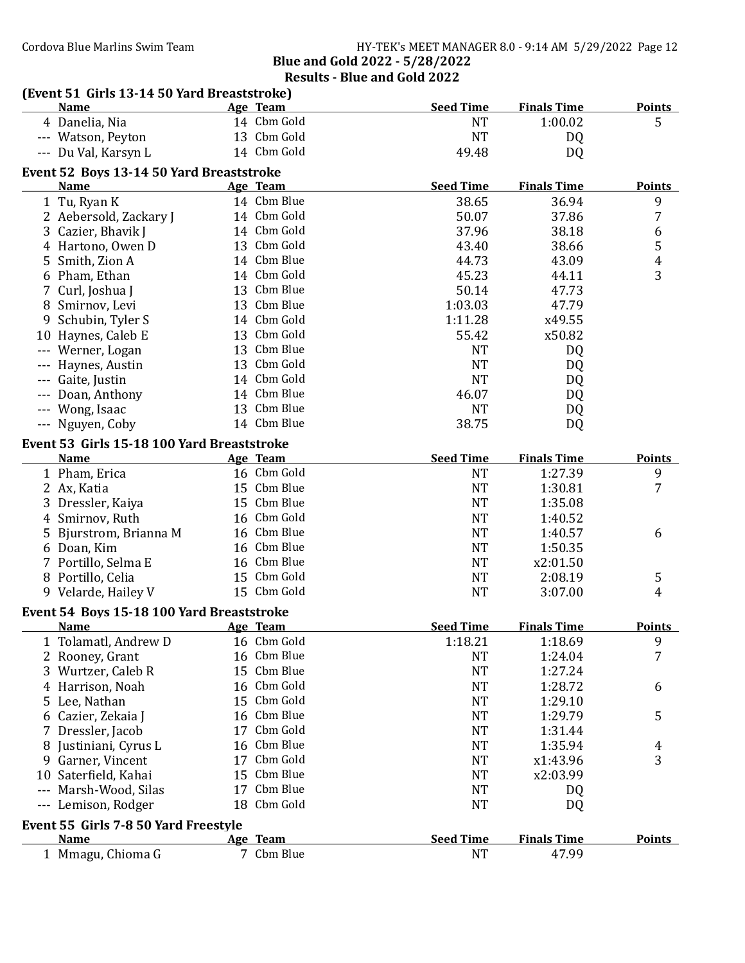## Results - Blue and Gold 2022

| (Event 51 Girls 13-14 50 Yard Breaststroke) |    |                         | <b>Seed Time</b> | <b>Finals Time</b> | <b>Points</b>           |
|---------------------------------------------|----|-------------------------|------------------|--------------------|-------------------------|
| <b>Name</b><br>4 Danelia, Nia               |    | Age Team<br>14 Cbm Gold | <b>NT</b>        | 1:00.02            | 5                       |
|                                             |    | 13 Cbm Gold             | <b>NT</b>        |                    |                         |
| --- Watson, Peyton                          |    | 14 Cbm Gold             |                  | DQ                 |                         |
| --- Du Val, Karsyn L                        |    |                         | 49.48            | DQ                 |                         |
| Event 52 Boys 13-14 50 Yard Breaststroke    |    |                         |                  |                    |                         |
| <b>Name</b>                                 |    | Age Team                | <b>Seed Time</b> | <b>Finals Time</b> | <b>Points</b>           |
| 1 Tu, Ryan K                                |    | 14 Cbm Blue             | 38.65            | 36.94              | 9                       |
| 2 Aebersold, Zackary J                      |    | 14 Cbm Gold             | 50.07            | 37.86              | 7                       |
| Cazier, Bhavik J<br>3                       |    | 14 Cbm Gold             | 37.96            | 38.18              | 6                       |
| Hartono, Owen D<br>4                        |    | 13 Cbm Gold             | 43.40            | 38.66              | 5                       |
| 5<br>Smith, Zion A                          |    | 14 Cbm Blue             | 44.73            | 43.09              | $\overline{\mathbf{4}}$ |
| Pham, Ethan<br>6                            |    | 14 Cbm Gold             | 45.23            | 44.11              | 3                       |
| Curl, Joshua J                              |    | 13 Cbm Blue             | 50.14            | 47.73              |                         |
| 8 Smirnov, Levi                             |    | 13 Cbm Blue             | 1:03.03          | 47.79              |                         |
| Schubin, Tyler S<br>9                       |    | 14 Cbm Gold             | 1:11.28          | x49.55             |                         |
| 10 Haynes, Caleb E                          |    | 13 Cbm Gold             | 55.42            | x50.82             |                         |
| --- Werner, Logan                           |    | 13 Cbm Blue             | <b>NT</b>        | DQ                 |                         |
| Haynes, Austin<br>$\cdots$                  |    | 13 Cbm Gold             | <b>NT</b>        | DQ                 |                         |
| Gaite, Justin<br>$- - -$                    |    | 14 Cbm Gold             | <b>NT</b>        | DQ                 |                         |
| Doan, Anthony<br>$\cdots$                   |    | 14 Cbm Blue             | 46.07            | DQ                 |                         |
| --- Wong, Isaac                             |    | 13 Cbm Blue             | <b>NT</b>        | DQ                 |                         |
| --- Nguyen, Coby                            |    | 14 Cbm Blue             | 38.75            | DQ                 |                         |
| Event 53 Girls 15-18 100 Yard Breaststroke  |    |                         |                  |                    |                         |
| <b>Name</b>                                 |    | Age Team                | <b>Seed Time</b> | <b>Finals Time</b> | <b>Points</b>           |
| 1 Pham, Erica                               |    | 16 Cbm Gold             | <b>NT</b>        | 1:27.39            | 9                       |
| 2 Ax, Katia                                 |    | 15 Cbm Blue             | <b>NT</b>        | 1:30.81            | 7                       |
| 3 Dressler, Kaiya                           |    | 15 Cbm Blue             | <b>NT</b>        | 1:35.08            |                         |
| 4 Smirnov, Ruth                             |    | 16 Cbm Gold             | <b>NT</b>        | 1:40.52            |                         |
| Bjurstrom, Brianna M<br>5                   |    | 16 Cbm Blue             | <b>NT</b>        | 1:40.57            | 6                       |
| 6 Doan, Kim                                 |    | 16 Cbm Blue             | <b>NT</b>        | 1:50.35            |                         |
| 7 Portillo, Selma E                         |    | 16 Cbm Blue             | <b>NT</b>        | x2:01.50           |                         |
| 8 Portillo, Celia                           |    | 15 Cbm Gold             | <b>NT</b>        | 2:08.19            | 5                       |
| 9 Velarde, Hailey V                         |    | 15 Cbm Gold             | <b>NT</b>        | 3:07.00            | $\overline{4}$          |
| Event 54 Boys 15-18 100 Yard Breaststroke   |    |                         |                  |                    |                         |
| Name                                        |    | Age Team                | <b>Seed Time</b> | <b>Finals Time</b> | <b>Points</b>           |
| 1 Tolamatl, Andrew D                        |    | 16 Cbm Gold             | 1:18.21          | 1:18.69            | 9                       |
| Rooney, Grant<br>2                          |    | 16 Cbm Blue             | <b>NT</b>        | 1:24.04            | 7                       |
| 3<br>Wurtzer, Caleb R                       |    | 15 Cbm Blue             | <b>NT</b>        | 1:27.24            |                         |
| Harrison, Noah<br>4                         |    | 16 Cbm Gold             | <b>NT</b>        | 1:28.72            | 6                       |
| Lee, Nathan<br>5.                           |    | 15 Cbm Gold             | <b>NT</b>        | 1:29.10            |                         |
| Cazier, Zekaia J<br>6                       |    | 16 Cbm Blue             | <b>NT</b>        | 1:29.79            | 5                       |
| Dressler, Jacob<br>7                        |    | 17 Cbm Gold             | <b>NT</b>        | 1:31.44            |                         |
| Justiniani, Cyrus L<br>8                    |    | 16 Cbm Blue             | <b>NT</b>        | 1:35.94            | 4                       |
| Garner, Vincent<br>9                        | 17 | Cbm Gold                | <b>NT</b>        | x1:43.96           | 3                       |
| Saterfield, Kahai<br>10                     | 15 | Cbm Blue                | <b>NT</b>        | x2:03.99           |                         |
| Marsh-Wood, Silas<br>$---$                  |    | 17 Cbm Blue             | <b>NT</b>        | DQ                 |                         |
| Lemison, Rodger<br>---                      |    | 18 Cbm Gold             | <b>NT</b>        | DQ                 |                         |
|                                             |    |                         |                  |                    |                         |
| Event 55 Girls 7-8 50 Yard Freestyle        |    |                         | <b>Seed Time</b> |                    |                         |
| <b>Name</b>                                 |    | Age Team<br>7 Cbm Blue  |                  | <b>Finals Time</b> | <b>Points</b>           |
| 1 Mmagu, Chioma G                           |    |                         | <b>NT</b>        | 47.99              |                         |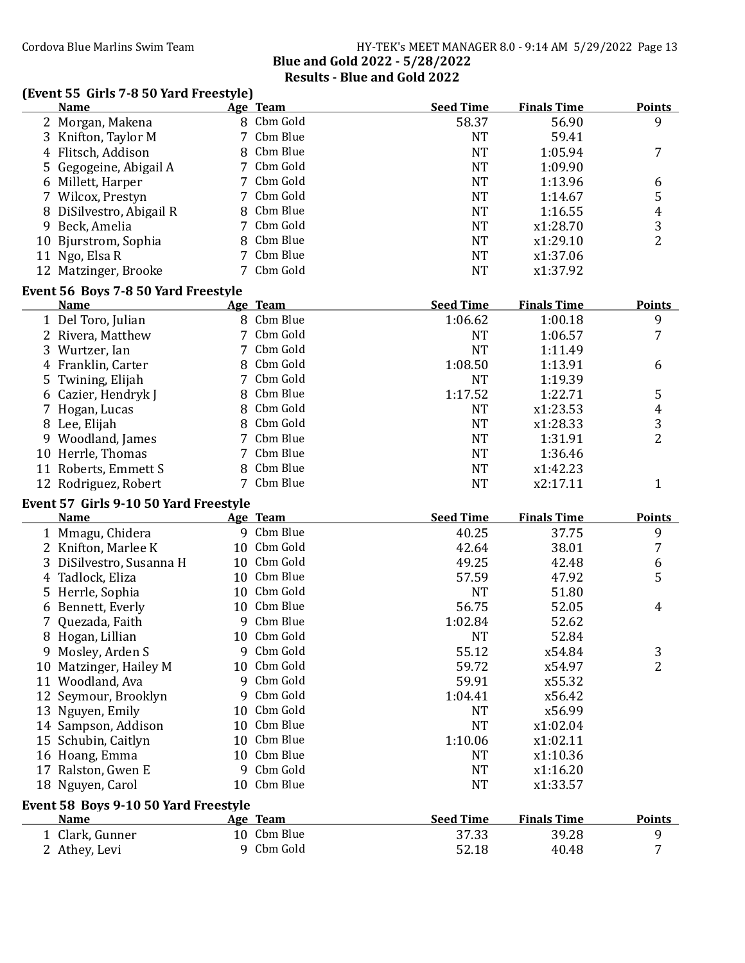### Cordova Blue Marlins Swim Team Team HY-TEK's MEET MANAGER 8.0 - 9:14 AM 5/29/2022 Page 13 Blue and Gold 2022 - 5/28/2022 Results - Blue and Gold 2022

## (Event 55 Girls 7-8 50 Yard Freestyle)

|    | <b>Name</b>                           |    | Age Team                  | <b>Seed Time</b> | <b>Finals Time</b> | <b>Points</b>    |  |  |  |  |
|----|---------------------------------------|----|---------------------------|------------------|--------------------|------------------|--|--|--|--|
|    | 2 Morgan, Makena                      |    | 8 Cbm Gold                | 58.37            | 56.90              | 9                |  |  |  |  |
|    | 3 Knifton, Taylor M                   | 7  | Cbm Blue                  | <b>NT</b>        | 59.41              |                  |  |  |  |  |
| 4  | Flitsch, Addison                      | 8  | Cbm Blue                  | <b>NT</b>        | 1:05.94            | 7                |  |  |  |  |
|    | 5 Gegogeine, Abigail A                | 7  | Cbm Gold                  | <b>NT</b>        | 1:09.90            |                  |  |  |  |  |
|    | 6 Millett, Harper                     | 7  | Cbm Gold                  | <b>NT</b>        | 1:13.96            | 6                |  |  |  |  |
|    | 7 Wilcox, Prestyn                     |    | Cbm Gold                  | <b>NT</b>        | 1:14.67            | 5                |  |  |  |  |
|    | 8 DiSilvestro, Abigail R              | 8  | Cbm Blue                  | <b>NT</b>        | 1:16.55            | 4                |  |  |  |  |
|    | 9 Beck, Amelia                        | 7  | Cbm Gold                  | <b>NT</b>        | x1:28.70           | 3                |  |  |  |  |
|    | 10 Bjurstrom, Sophia                  | 8  | Cbm Blue                  | <b>NT</b>        | x1:29.10           | $\overline{2}$   |  |  |  |  |
| 11 | Ngo, Elsa R                           |    | Cbm Blue                  | <b>NT</b>        | x1:37.06           |                  |  |  |  |  |
|    | 12 Matzinger, Brooke                  |    | Cbm Gold                  | <b>NT</b>        | x1:37.92           |                  |  |  |  |  |
|    |                                       |    |                           |                  |                    |                  |  |  |  |  |
|    | Event 56 Boys 7-8 50 Yard Freestyle   |    |                           |                  |                    |                  |  |  |  |  |
|    | <b>Name</b>                           |    | Age Team                  | <b>Seed Time</b> | <b>Finals Time</b> | <b>Points</b>    |  |  |  |  |
|    | 1 Del Toro, Julian                    |    | 8 Cbm Blue                | 1:06.62          | 1:00.18            | 9                |  |  |  |  |
|    | 2 Rivera, Matthew                     | 7  | Cbm Gold                  | <b>NT</b>        | 1:06.57            | 7                |  |  |  |  |
|    | 3 Wurtzer, Ian                        | 7  | Cbm Gold                  | <b>NT</b>        | 1:11.49            |                  |  |  |  |  |
|    | 4 Franklin, Carter                    | 8  | Cbm Gold                  | 1:08.50          | 1:13.91            | 6                |  |  |  |  |
|    | 5 Twining, Elijah                     | 7  | Cbm Gold                  | <b>NT</b>        | 1:19.39            |                  |  |  |  |  |
|    | 6 Cazier, Hendryk J                   | 8  | Cbm Blue                  | 1:17.52          | 1:22.71            | 5                |  |  |  |  |
|    | 7 Hogan, Lucas                        | 8  | Cbm Gold                  | <b>NT</b>        | x1:23.53           | $\boldsymbol{4}$ |  |  |  |  |
|    | 8 Lee, Elijah                         | 8  | Cbm Gold                  | <b>NT</b>        | x1:28.33           | 3                |  |  |  |  |
|    | 9 Woodland, James                     | 7  | Cbm Blue                  | <b>NT</b>        | 1:31.91            | $\overline{2}$   |  |  |  |  |
|    | 10 Herrle, Thomas                     | 7  | Cbm Blue                  | <b>NT</b>        | 1:36.46            |                  |  |  |  |  |
|    | 11 Roberts, Emmett S                  | 8  | Cbm Blue                  | <b>NT</b>        | x1:42.23           |                  |  |  |  |  |
|    | 12 Rodriguez, Robert                  | 7  | Cbm Blue                  | <b>NT</b>        | x2:17.11           | 1                |  |  |  |  |
|    | Event 57 Girls 9-10 50 Yard Freestyle |    |                           |                  |                    |                  |  |  |  |  |
|    | <b>Name</b>                           |    | Age Team                  | <b>Seed Time</b> | <b>Finals Time</b> | <b>Points</b>    |  |  |  |  |
|    | 1 Mmagu, Chidera                      |    | 9 Cbm Blue                | 40.25            | 37.75              | 9                |  |  |  |  |
|    | 2 Knifton, Marlee K                   |    | 10 Cbm Gold               | 42.64            | 38.01              | $\overline{7}$   |  |  |  |  |
| 3  | DiSilvestro, Susanna H                |    | 10 Cbm Gold               | 49.25            | 42.48              | 6                |  |  |  |  |
|    | 4 Tadlock, Eliza                      |    | 10 Cbm Blue               | 57.59            | 47.92              | 5                |  |  |  |  |
|    | 5 Herrle, Sophia                      |    | 10 Cbm Gold               | <b>NT</b>        | 51.80              |                  |  |  |  |  |
|    | 6 Bennett, Everly                     |    | 10 Cbm Blue               | 56.75            | 52.05              | 4                |  |  |  |  |
|    | Quezada, Faith                        | 9  | Cbm Blue                  | 1:02.84          | 52.62              |                  |  |  |  |  |
|    | 8 Hogan, Lillian                      |    | 10 Cbm Gold               | <b>NT</b>        | 52.84              |                  |  |  |  |  |
|    | 9 Mosley, Arden S                     | 9  | Cbm Gold                  | 55.12            | x54.84             | 3                |  |  |  |  |
|    | 10 Matzinger, Hailey M                |    | 10 Cbm Gold               | 59.72            | x54.97             | $\overline{2}$   |  |  |  |  |
|    | 11 Woodland, Ava                      | 9  | Cbm Gold                  | 59.91            | x55.32             |                  |  |  |  |  |
|    |                                       | 9  | Cbm Gold                  | 1:04.41          | x56.42             |                  |  |  |  |  |
|    | 12 Seymour, Brooklyn                  | 10 | Cbm Gold                  | NT               | x56.99             |                  |  |  |  |  |
|    | 13 Nguyen, Emily                      |    | Cbm Blue                  |                  |                    |                  |  |  |  |  |
|    | 14 Sampson, Addison                   | 10 | Cbm Blue                  | <b>NT</b>        | x1:02.04           |                  |  |  |  |  |
|    | 15 Schubin, Caitlyn                   | 10 | Cbm Blue                  | 1:10.06          | x1:02.11           |                  |  |  |  |  |
|    | 16 Hoang, Emma                        | 10 |                           | <b>NT</b>        | x1:10.36           |                  |  |  |  |  |
|    | 17 Ralston, Gwen E                    | 9  | Cbm Gold                  | <b>NT</b>        | x1:16.20           |                  |  |  |  |  |
|    | 18 Nguyen, Carol                      | 10 | Cbm Blue                  | <b>NT</b>        | x1:33.57           |                  |  |  |  |  |
|    |                                       |    |                           |                  |                    |                  |  |  |  |  |
|    | Event 58 Boys 9-10 50 Yard Freestyle  |    |                           |                  |                    |                  |  |  |  |  |
|    | <b>Name</b>                           |    | Age Team                  | <b>Seed Time</b> | <b>Finals Time</b> | <b>Points</b>    |  |  |  |  |
|    | 1 Clark, Gunner                       |    | 10 Cbm Blue<br>9 Cbm Gold | 37.33            | 39.28              | 9                |  |  |  |  |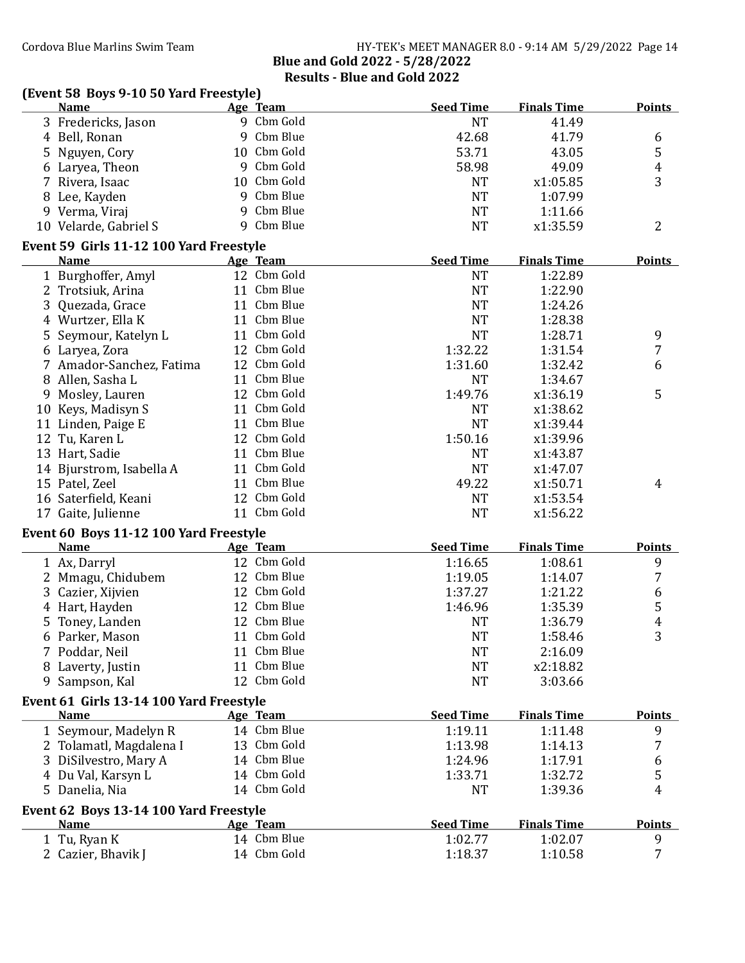### (Event 58 Boys 9-10 50 Yard Freestyle)

|    | <b>Name</b>                                           |   | Age Team    | <b>Seed Time</b> | <b>Finals Time</b> | <b>Points</b> |
|----|-------------------------------------------------------|---|-------------|------------------|--------------------|---------------|
|    | 3 Fredericks, Jason                                   |   | 9 Cbm Gold  | <b>NT</b>        | 41.49              |               |
|    | 4 Bell, Ronan                                         |   | 9 Cbm Blue  | 42.68            | 41.79              | 6             |
| 5  | Nguyen, Cory                                          |   | 10 Cbm Gold | 53.71            | 43.05              | 5             |
|    | 6 Laryea, Theon                                       |   | 9 Cbm Gold  | 58.98            | 49.09              | 4             |
| 7  | Rivera, Isaac                                         |   | 10 Cbm Gold | <b>NT</b>        | x1:05.85           | 3             |
|    | 8 Lee, Kayden                                         | 9 | Cbm Blue    | <b>NT</b>        | 1:07.99            |               |
|    | 9 Verma, Viraj                                        | 9 | Cbm Blue    | <b>NT</b>        | 1:11.66            |               |
|    | 10 Velarde, Gabriel S                                 |   | 9 Cbm Blue  | <b>NT</b>        | x1:35.59           | 2             |
|    | Event 59 Girls 11-12 100 Yard Freestyle               |   |             |                  |                    |               |
|    | <b>Name</b>                                           |   | Age Team    | <b>Seed Time</b> | <b>Finals Time</b> | <b>Points</b> |
|    | 1 Burghoffer, Amyl                                    |   | 12 Cbm Gold | <b>NT</b>        | 1:22.89            |               |
|    | 2 Trotsiuk, Arina                                     |   | 11 Cbm Blue | <b>NT</b>        | 1:22.90            |               |
| 3  | Quezada, Grace                                        |   | 11 Cbm Blue | <b>NT</b>        | 1:24.26            |               |
|    | 4 Wurtzer, Ella K                                     |   | 11 Cbm Blue | <b>NT</b>        | 1:28.38            |               |
| 5  | Seymour, Katelyn L                                    |   | 11 Cbm Gold | <b>NT</b>        | 1:28.71            | 9             |
|    | 6 Laryea, Zora                                        |   | 12 Cbm Gold | 1:32.22          | 1:31.54            | 7             |
|    | 7 Amador-Sanchez, Fatima                              |   | 12 Cbm Gold | 1:31.60          | 1:32.42            | 6             |
| 8  | Allen, Sasha L                                        |   | 11 Cbm Blue | <b>NT</b>        | 1:34.67            |               |
|    | 9 Mosley, Lauren                                      |   | 12 Cbm Gold | 1:49.76          | x1:36.19           | 5             |
|    | 10 Keys, Madisyn S                                    |   | 11 Cbm Gold | <b>NT</b>        | x1:38.62           |               |
|    | 11 Linden, Paige E                                    |   | 11 Cbm Blue | <b>NT</b>        | x1:39.44           |               |
|    | 12 Tu, Karen L                                        |   | 12 Cbm Gold | 1:50.16          | x1:39.96           |               |
|    | 13 Hart, Sadie                                        |   | 11 Cbm Blue | <b>NT</b>        | x1:43.87           |               |
|    | 14 Bjurstrom, Isabella A                              |   | 11 Cbm Gold | <b>NT</b>        | x1:47.07           |               |
|    | 15 Patel, Zeel                                        |   | 11 Cbm Blue | 49.22            | x1:50.71           | 4             |
|    | 16 Saterfield, Keani                                  |   | 12 Cbm Gold | <b>NT</b>        | x1:53.54           |               |
| 17 | Gaite, Julienne                                       |   | 11 Cbm Gold | <b>NT</b>        | x1:56.22           |               |
|    |                                                       |   |             |                  |                    |               |
|    | Event 60 Boys 11-12 100 Yard Freestyle<br><b>Name</b> |   | Age Team    | <b>Seed Time</b> | <b>Finals Time</b> | <b>Points</b> |
|    |                                                       |   | 12 Cbm Gold |                  |                    |               |
|    | 1 Ax, Darryl                                          |   | 12 Cbm Blue | 1:16.65          | 1:08.61            | 9<br>7        |
| 2  | Mmagu, Chidubem                                       |   | 12 Cbm Gold | 1:19.05          | 1:14.07            |               |
| 3  | Cazier, Xijvien                                       |   | 12 Cbm Blue | 1:37.27          | 1:21.22            | 6             |
| 4  | Hart, Hayden                                          |   |             | 1:46.96          | 1:35.39            | 5             |
| 5  | Toney, Landen                                         |   | 12 Cbm Blue | NT               | 1:36.79            | 4             |
|    | 6 Parker, Mason                                       |   | 11 Cbm Gold | <b>NT</b>        | 1:58.46            | 3             |
|    | 7 Poddar, Neil                                        |   | 11 Cbm Blue | NT               | 2:16.09            |               |
|    | 8 Laverty, Justin                                     |   | 11 Cbm Blue | <b>NT</b>        | x2:18.82           |               |
| 9. | Sampson, Kal                                          |   | 12 Cbm Gold | <b>NT</b>        | 3:03.66            |               |
|    | Event 61 Girls 13-14 100 Yard Freestyle               |   |             |                  |                    |               |
|    | <b>Name</b>                                           |   | Age Team    | <b>Seed Time</b> | <b>Finals Time</b> | <b>Points</b> |
|    | 1 Seymour, Madelyn R                                  |   | 14 Cbm Blue | 1:19.11          | 1:11.48            | 9             |
|    | 2 Tolamatl, Magdalena I                               |   | 13 Cbm Gold | 1:13.98          | 1:14.13            | 7             |
| 3  | DiSilvestro, Mary A                                   |   | 14 Cbm Blue | 1:24.96          | 1:17.91            | 6             |
|    | 4 Du Val, Karsyn L                                    |   | 14 Cbm Gold | 1:33.71          | 1:32.72            | 5             |
|    | 5 Danelia, Nia                                        |   | 14 Cbm Gold | <b>NT</b>        | 1:39.36            | 4             |
|    | Event 62 Boys 13-14 100 Yard Freestyle                |   |             |                  |                    |               |
|    | <b>Name</b>                                           |   | Age Team    | <b>Seed Time</b> | <b>Finals Time</b> | <b>Points</b> |
|    | 1 Tu, Ryan K                                          |   | 14 Cbm Blue | 1:02.77          | 1:02.07            | 9             |
|    | 2 Cazier, Bhavik J                                    |   | 14 Cbm Gold | 1:18.37          | 1:10.58            | 7             |
|    |                                                       |   |             |                  |                    |               |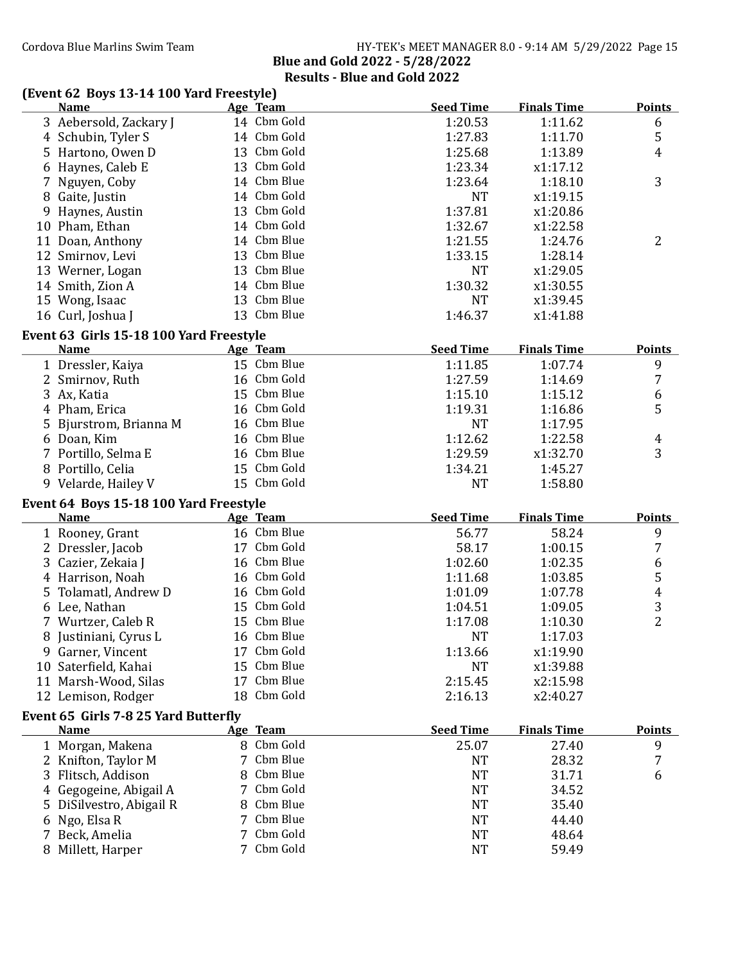### Cordova Blue Marlins Swim Team Team HY-TEK's MEET MANAGER 8.0 - 9:14 AM 5/29/2022 Page 15 Blue and Gold 2022 - 5/28/2022 Results - Blue and Gold 2022

### (Event 62 Boys 13-14 100 Yard Freestyle)

|    | <b>Name</b>                             |    | Age Team                   | <b>Seed Time</b> | <b>Finals Time</b> | <b>Points</b>       |
|----|-----------------------------------------|----|----------------------------|------------------|--------------------|---------------------|
|    | 3 Aebersold, Zackary J                  |    | 14 Cbm Gold                | 1:20.53          | 1:11.62            | 6                   |
|    | 4 Schubin, Tyler S                      |    | 14 Cbm Gold                | 1:27.83          | 1:11.70            | 5                   |
|    | 5 Hartono, Owen D                       |    | 13 Cbm Gold                | 1:25.68          | 1:13.89            | 4                   |
|    | 6 Haynes, Caleb E                       |    | 13 Cbm Gold                | 1:23.34          | x1:17.12           |                     |
|    | 7 Nguyen, Coby                          |    | 14 Cbm Blue                | 1:23.64          | 1:18.10            | 3                   |
|    | 8 Gaite, Justin                         |    | 14 Cbm Gold                | <b>NT</b>        | x1:19.15           |                     |
|    | 9 Haynes, Austin                        |    | 13 Cbm Gold                | 1:37.81          | x1:20.86           |                     |
|    | 10 Pham, Ethan                          |    | 14 Cbm Gold                | 1:32.67          | x1:22.58           |                     |
|    | 11 Doan, Anthony                        |    | 14 Cbm Blue                | 1:21.55          | 1:24.76            | $\overline{2}$      |
|    | 12 Smirnov, Levi                        |    | 13 Cbm Blue                | 1:33.15          | 1:28.14            |                     |
|    | 13 Werner, Logan                        |    | 13 Cbm Blue                | <b>NT</b>        | x1:29.05           |                     |
|    | 14 Smith, Zion A                        |    | 14 Cbm Blue                | 1:30.32          | x1:30.55           |                     |
|    | 15 Wong, Isaac                          |    | 13 Cbm Blue                | <b>NT</b>        | x1:39.45           |                     |
|    | 16 Curl, Joshua J                       |    | 13 Cbm Blue                | 1:46.37          | x1:41.88           |                     |
|    | Event 63 Girls 15-18 100 Yard Freestyle |    |                            |                  |                    |                     |
|    | <b>Name</b>                             |    | Age Team                   | <b>Seed Time</b> | <b>Finals Time</b> | <b>Points</b>       |
|    | 1 Dressler, Kaiya                       |    | 15 Cbm Blue                | 1:11.85          | 1:07.74            | 9                   |
|    | 2 Smirnov, Ruth                         |    | 16 Cbm Gold                | 1:27.59          | 1:14.69            | 7                   |
|    | 3 Ax, Katia                             |    | 15 Cbm Blue                | 1:15.10          | 1:15.12            | 6                   |
|    | 4 Pham, Erica                           |    | 16 Cbm Gold                | 1:19.31          | 1:16.86            | 5                   |
| 5. | Bjurstrom, Brianna M                    |    | 16 Cbm Blue                | <b>NT</b>        | 1:17.95            |                     |
|    | 6 Doan, Kim                             |    | 16 Cbm Blue                | 1:12.62          | 1:22.58            | 4                   |
|    | 7 Portillo, Selma E                     |    | 16 Cbm Blue                | 1:29.59          | x1:32.70           | 3                   |
|    | 8 Portillo, Celia                       |    | 15 Cbm Gold                | 1:34.21          | 1:45.27            |                     |
|    | 9 Velarde, Hailey V                     |    | 15 Cbm Gold                | <b>NT</b>        | 1:58.80            |                     |
|    |                                         |    |                            |                  |                    |                     |
|    | Event 64 Boys 15-18 100 Yard Freestyle  |    |                            |                  |                    |                     |
|    | <b>Name</b>                             |    | Age Team                   | <b>Seed Time</b> | <b>Finals Time</b> | <b>Points</b>       |
|    | 1 Rooney, Grant                         |    | 16 Cbm Blue<br>17 Cbm Gold | 56.77            | 58.24              | 9                   |
|    | 2 Dressler, Jacob                       |    | 16 Cbm Blue                | 58.17            | 1:00.15            | 7                   |
| 3  | Cazier, Zekaia J                        |    | 16 Cbm Gold                | 1:02.60          | 1:02.35            | 6                   |
|    | 4 Harrison, Noah                        |    |                            | 1:11.68          | 1:03.85            | 5                   |
|    | 5 Tolamatl, Andrew D                    |    | 16 Cbm Gold                | 1:01.09          | 1:07.78            | $\boldsymbol{4}$    |
|    | 6 Lee, Nathan                           |    | 15 Cbm Gold                | 1:04.51          | 1:09.05            | 3<br>$\overline{2}$ |
|    | 7 Wurtzer, Caleb R                      |    | 15 Cbm Blue                | 1:17.08          | 1:10.30            |                     |
|    | 8 Justiniani, Cyrus L                   |    | 16 Cbm Blue                | <b>NT</b>        | 1:17.03            |                     |
| 9. | Garner, Vincent                         |    | 17 Cbm Gold                | 1:13.66          | x1:19.90           |                     |
|    | 10 Saterfield, Kahai                    |    | 15 Cbm Blue                | <b>NT</b>        | x1:39.88           |                     |
|    | 11 Marsh-Wood, Silas                    | 17 | Cbm Blue                   | 2:15.45          | x2:15.98           |                     |
|    | 12 Lemison, Rodger                      | 18 | Cbm Gold                   | 2:16.13          | x2:40.27           |                     |
|    | Event 65 Girls 7-8 25 Yard Butterfly    |    |                            |                  |                    |                     |
|    | <b>Name</b>                             |    | Age Team                   | <b>Seed Time</b> | <b>Finals Time</b> | <b>Points</b>       |
|    | 1 Morgan, Makena                        |    | 8 Cbm Gold                 | 25.07            | 27.40              | 9                   |
|    | Knifton, Taylor M                       |    | Cbm Blue                   | <b>NT</b>        | 28.32              | 7                   |
| 3  | Flitsch, Addison                        | 8  | Cbm Blue                   | <b>NT</b>        | 31.71              | 6                   |
|    | Gegogeine, Abigail A                    | 7  | Cbm Gold                   | <b>NT</b>        | 34.52              |                     |
|    | 5 DiSilvestro, Abigail R                |    | Cbm Blue                   | <b>NT</b>        | 35.40              |                     |
|    | 6 Ngo, Elsa R                           | 7  | Cbm Blue                   | <b>NT</b>        | 44.40              |                     |
| 7. | Beck, Amelia                            |    | Cbm Gold                   | <b>NT</b>        | 48.64              |                     |
|    | 8 Millett, Harper                       |    | 7 Cbm Gold                 | <b>NT</b>        | 59.49              |                     |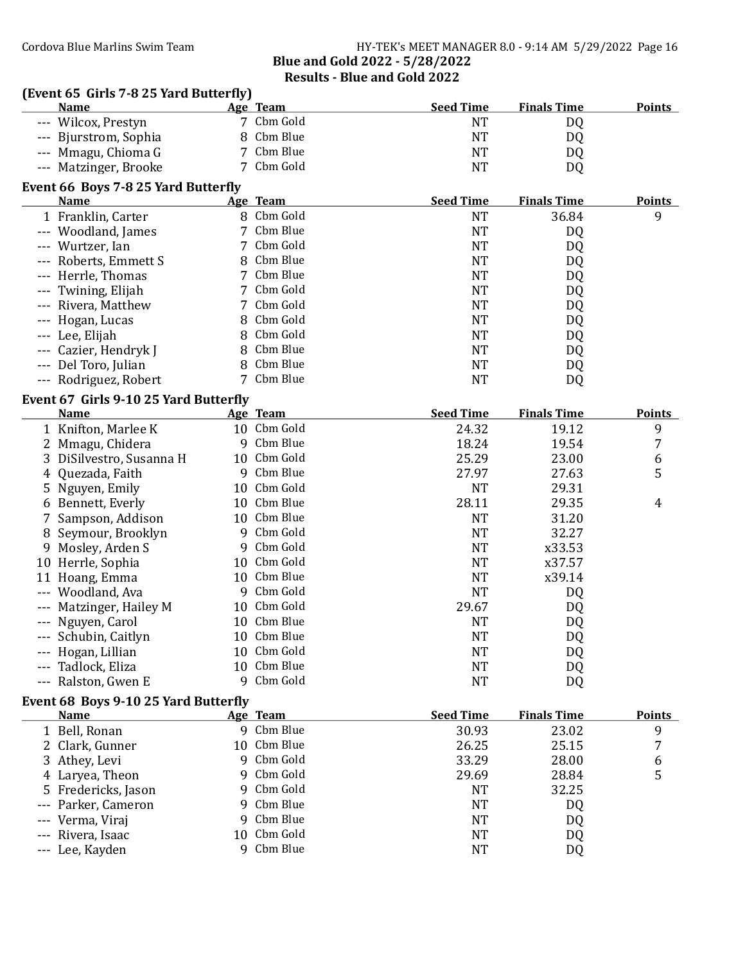(Event 65 Girls 7-8 25 Yard Butterfly)<br>Name Age Team

Age Team Seed Time Finals Time Points

|         | --- Wilcox, Prestyn                   | 7  | Cbm Gold    | <b>NT</b>        | DQ                 |               |
|---------|---------------------------------------|----|-------------|------------------|--------------------|---------------|
|         | --- Bjurstrom, Sophia                 | 8  | Cbm Blue    | <b>NT</b>        | DQ                 |               |
|         | --- Mmagu, Chioma G                   | 7  | Cbm Blue    | <b>NT</b>        | DQ                 |               |
|         | --- Matzinger, Brooke                 | 7  | Cbm Gold    | <b>NT</b>        | DQ                 |               |
|         | Event 66 Boys 7-8 25 Yard Butterfly   |    |             |                  |                    |               |
|         | <b>Name</b>                           |    | Age Team    | <b>Seed Time</b> | <b>Finals Time</b> | <b>Points</b> |
|         | 1 Franklin, Carter                    |    | 8 Cbm Gold  | <b>NT</b>        | 36.84              | 9             |
|         | --- Woodland, James                   | 7  | Cbm Blue    | <b>NT</b>        | DQ                 |               |
|         | --- Wurtzer, Ian                      | 7  | Cbm Gold    | <b>NT</b>        | DQ                 |               |
|         | --- Roberts, Emmett S                 | 8  | Cbm Blue    | <b>NT</b>        | DQ                 |               |
| $- - -$ | Herrle, Thomas                        | 7  | Cbm Blue    | <b>NT</b>        | DQ                 |               |
| $---$   | Twining, Elijah                       | 7  | Cbm Gold    | <b>NT</b>        | DQ                 |               |
|         | Rivera, Matthew                       | 7  | Cbm Gold    | <b>NT</b>        | DQ                 |               |
|         | Hogan, Lucas                          | 8  | Cbm Gold    | <b>NT</b>        | DQ                 |               |
|         | --- Lee, Elijah                       | 8  | Cbm Gold    | <b>NT</b>        | DQ                 |               |
|         | --- Cazier, Hendryk J                 | 8  | Cbm Blue    | <b>NT</b>        | DQ                 |               |
|         | --- Del Toro, Julian                  | 8  | Cbm Blue    | <b>NT</b>        | DQ                 |               |
|         | --- Rodriguez, Robert                 | 7  | Cbm Blue    | <b>NT</b>        | DQ                 |               |
|         |                                       |    |             |                  |                    |               |
|         | Event 67 Girls 9-10 25 Yard Butterfly |    |             |                  |                    |               |
|         | <b>Name</b>                           |    | Age Team    | <b>Seed Time</b> | <b>Finals Time</b> | <b>Points</b> |
|         | 1 Knifton, Marlee K                   |    | 10 Cbm Gold | 24.32            | 19.12              | 9             |
|         | 2 Mmagu, Chidera                      | 9  | Cbm Blue    | 18.24            | 19.54              | 7             |
|         | 3 DiSilvestro, Susanna H              |    | 10 Cbm Gold | 25.29            | 23.00              | 6             |
|         | 4 Quezada, Faith                      | 9  | Cbm Blue    | 27.97            | 27.63              | 5             |
|         | 5 Nguyen, Emily                       | 10 | Cbm Gold    | <b>NT</b>        | 29.31              |               |
|         | Bennett, Everly                       | 10 | Cbm Blue    | 28.11            | 29.35              | 4             |
| 7       | Sampson, Addison                      | 10 | Cbm Blue    | <b>NT</b>        | 31.20              |               |
| 8       | Seymour, Brooklyn                     | 9  | Cbm Gold    | <b>NT</b>        | 32.27              |               |
| 9       | Mosley, Arden S                       | 9  | Cbm Gold    | <b>NT</b>        | x33.53             |               |
|         | 10 Herrle, Sophia                     | 10 | Cbm Gold    | <b>NT</b>        | x37.57             |               |
|         | 11 Hoang, Emma                        | 10 | Cbm Blue    | <b>NT</b>        | x39.14             |               |
|         | Woodland, Ava                         | 9  | Cbm Gold    | <b>NT</b>        | DQ                 |               |
|         | Matzinger, Hailey M                   | 10 | Cbm Gold    | 29.67            | DQ                 |               |
|         | Nguyen, Carol                         | 10 | Cbm Blue    | <b>NT</b>        | DQ                 |               |
|         | Schubin, Caitlyn                      | 10 | Cbm Blue    | <b>NT</b>        | DQ                 |               |
| ---     | Hogan, Lillian                        |    | 10 Cbm Gold | <b>NT</b>        | DQ                 |               |
|         | Tadlock, Eliza                        |    | 10 Cbm Blue | <b>NT</b>        | DQ                 |               |
|         | Ralston, Gwen E                       | 9  | Cbm Gold    | <b>NT</b>        | DQ                 |               |
|         | Event 68 Boys 9-10 25 Yard Butterfly  |    |             |                  |                    |               |
|         | <b>Name</b>                           |    | Age Team    | <b>Seed Time</b> | <b>Finals Time</b> | <b>Points</b> |
|         | 1 Bell, Ronan                         |    | 9 Cbm Blue  | 30.93            | 23.02              | 9             |
|         | 2 Clark, Gunner                       | 10 | Cbm Blue    | 26.25            | 25.15              | 7             |
| 3       | Athey, Levi                           | q  | Cbm Gold    | 33.29            | 28.00              | 6             |
|         | 4 Laryea, Theon                       | q  | Cbm Gold    | 29.69            | 28.84              | 5             |
|         | 5 Fredericks, Jason                   | 9  | Cbm Gold    | <b>NT</b>        | 32.25              |               |
|         | Parker, Cameron                       | 9  | Cbm Blue    | <b>NT</b>        | DQ                 |               |
|         | Verma, Viraj                          | 9  | Cbm Blue    | <b>NT</b>        | DQ                 |               |
|         | Rivera, Isaac                         | 10 | Cbm Gold    | <b>NT</b>        | DQ                 |               |
|         |                                       |    | 9 Cbm Blue  | NT               |                    |               |
|         | Lee, Kayden                           |    |             |                  | DQ                 |               |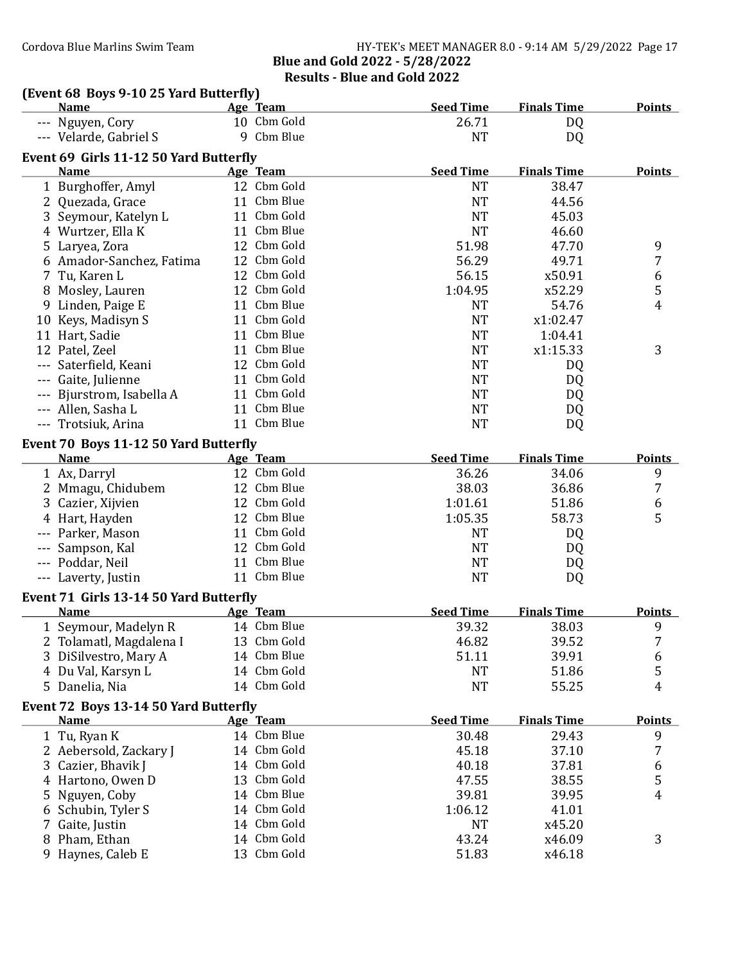### Cordova Blue Marlins Swim Team Team HY-TEK's MEET MANAGER 8.0 - 9:14 AM 5/29/2022 Page 17 Blue and Gold 2022 - 5/28/2022 Results - Blue and Gold 2022

| (Event 68 Boys 9-10 25 Yard Butterfly) |             |                  |                    |               |
|----------------------------------------|-------------|------------------|--------------------|---------------|
| <b>Name</b>                            | Age Team    | <b>Seed Time</b> | <b>Finals Time</b> | <b>Points</b> |
| --- Nguyen, Cory                       | 10 Cbm Gold | 26.71            | DQ                 |               |
| --- Velarde, Gabriel S                 | 9 Cbm Blue  | <b>NT</b>        | DQ                 |               |
| Event 69 Girls 11-12 50 Yard Butterfly |             |                  |                    |               |
| <b>Name</b>                            | Age Team    | <b>Seed Time</b> | <b>Finals Time</b> | <b>Points</b> |
| 1 Burghoffer, Amyl                     | 12 Cbm Gold | <b>NT</b>        | 38.47              |               |
| 2 Quezada, Grace                       | 11 Cbm Blue | <b>NT</b>        | 44.56              |               |
| 3 Seymour, Katelyn L                   | 11 Cbm Gold | <b>NT</b>        | 45.03              |               |
| 4 Wurtzer, Ella K                      | 11 Cbm Blue | <b>NT</b>        | 46.60              |               |
| 5 Laryea, Zora                         | 12 Cbm Gold | 51.98            | 47.70              | 9             |
| 6 Amador-Sanchez, Fatima               | 12 Cbm Gold | 56.29            | 49.71              | 7             |
| 7 Tu, Karen L                          | 12 Cbm Gold | 56.15            | x50.91             | 6             |
| 8 Mosley, Lauren                       | 12 Cbm Gold | 1:04.95          | x52.29             | 5             |
| 9 Linden, Paige E                      | 11 Cbm Blue | <b>NT</b>        | 54.76              | 4             |
| 10 Keys, Madisyn S                     | 11 Cbm Gold | <b>NT</b>        | x1:02.47           |               |
| 11 Hart, Sadie                         | 11 Cbm Blue | <b>NT</b>        | 1:04.41            |               |
| 12 Patel, Zeel                         | 11 Cbm Blue | <b>NT</b>        | x1:15.33           | 3             |
| Saterfield, Keani                      | 12 Cbm Gold | <b>NT</b>        | DQ                 |               |
| Gaite, Julienne                        | 11 Cbm Gold | <b>NT</b>        | DQ                 |               |
| --- Bjurstrom, Isabella A              | 11 Cbm Gold | <b>NT</b>        | DQ                 |               |
| --- Allen, Sasha L                     | 11 Cbm Blue | <b>NT</b>        | DQ                 |               |
| --- Trotsiuk, Arina                    | 11 Cbm Blue | <b>NT</b>        | DQ                 |               |
|                                        |             |                  |                    |               |
| Event 70 Boys 11-12 50 Yard Butterfly  |             |                  |                    |               |
| <b>Name</b>                            | Age Team    | <b>Seed Time</b> | <b>Finals Time</b> | <b>Points</b> |
| 1 Ax, Darryl                           | 12 Cbm Gold | 36.26            | 34.06              | 9             |
| 2 Mmagu, Chidubem                      | 12 Cbm Blue | 38.03            | 36.86              | 7             |
| 3 Cazier, Xijvien                      | 12 Cbm Gold | 1:01.61          | 51.86              | 6             |
| 4 Hart, Hayden                         | 12 Cbm Blue | 1:05.35          | 58.73              | 5             |
| --- Parker, Mason                      | 11 Cbm Gold | <b>NT</b>        | DQ                 |               |
| Sampson, Kal                           | 12 Cbm Gold | <b>NT</b>        | DQ                 |               |
| --- Poddar, Neil                       | 11 Cbm Blue | <b>NT</b>        | DQ                 |               |
| --- Laverty, Justin                    | 11 Cbm Blue | <b>NT</b>        | DQ                 |               |
| Event 71 Girls 13-14 50 Yard Butterfly |             |                  |                    |               |
| <b>Name</b>                            | Age Team    | <b>Seed Time</b> | <b>Finals Time</b> | <b>Points</b> |
| 1 Seymour, Madelyn R                   | 14 Cbm Blue | 39.32            | 38.03              | 9             |
| 2 Tolamatl, Magdalena I                | 13 Cbm Gold | 46.82            | 39.52              | 7             |
| 3 DiSilvestro, Mary A                  | 14 Cbm Blue | 51.11            | 39.91              | 6             |
| 4 Du Val, Karsyn L                     | 14 Cbm Gold | <b>NT</b>        | 51.86              | 5             |
| 5 Danelia, Nia                         | 14 Cbm Gold | <b>NT</b>        | 55.25              | 4             |
| Event 72 Boys 13-14 50 Yard Butterfly  |             |                  |                    |               |
| <b>Name</b>                            | Age Team    | <b>Seed Time</b> | <b>Finals Time</b> | <b>Points</b> |
| 1 Tu, Ryan K                           | 14 Cbm Blue | 30.48            | 29.43              | 9             |
| 2 Aebersold, Zackary J                 | 14 Cbm Gold |                  |                    | 7             |
|                                        | 14 Cbm Gold | 45.18            | 37.10              |               |
| 3 Cazier, Bhavik J                     | 13 Cbm Gold | 40.18            | 37.81              | 6             |
| 4 Hartono, Owen D                      |             | 47.55            | 38.55              | 5             |
| 5 Nguyen, Coby                         | 14 Cbm Blue | 39.81            | 39.95              | 4             |
| 6 Schubin, Tyler S                     | 14 Cbm Gold | 1:06.12          | 41.01              |               |
| 7 Gaite, Justin                        | 14 Cbm Gold | <b>NT</b>        | x45.20             |               |
| 8 Pham, Ethan                          | 14 Cbm Gold | 43.24            | x46.09             | 3             |
| 9 Haynes, Caleb E                      | 13 Cbm Gold | 51.83            | x46.18             |               |